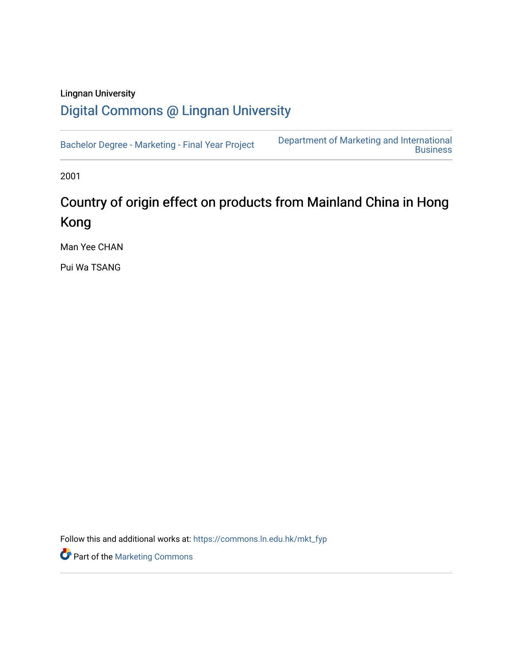## Lingnan University [Digital Commons @ Lingnan University](https://commons.ln.edu.hk/)

[Bachelor Degree - Marketing - Final Year Project](https://commons.ln.edu.hk/mkt_fyp) [Department of Marketing and International](https://commons.ln.edu.hk/mkt)  **Business** 

2001

## Country of origin effect on products from Mainland China in Hong Kong

Man Yee CHAN

Pui Wa TSANG

Follow this and additional works at: [https://commons.ln.edu.hk/mkt\\_fyp](https://commons.ln.edu.hk/mkt_fyp?utm_source=commons.ln.edu.hk%2Fmkt_fyp%2F12&utm_medium=PDF&utm_campaign=PDFCoverPages) 

Part of the [Marketing Commons](http://network.bepress.com/hgg/discipline/638?utm_source=commons.ln.edu.hk%2Fmkt_fyp%2F12&utm_medium=PDF&utm_campaign=PDFCoverPages)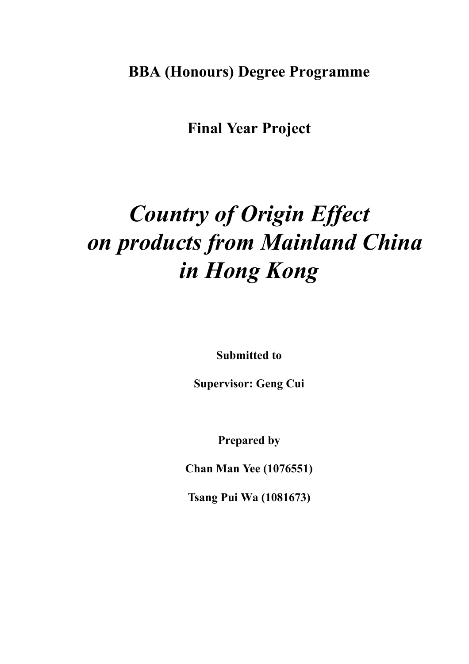**BBA (Honours) Degree Programme**

**Final Year Project**

# *Country of Origin Effect on products from Mainland China in Hong Kong*

**Submitted to**

**Supervisor: Geng Cui**

**Prepared by**

**Chan Man Yee (1076551)**

**Tsang Pui Wa (1081673)**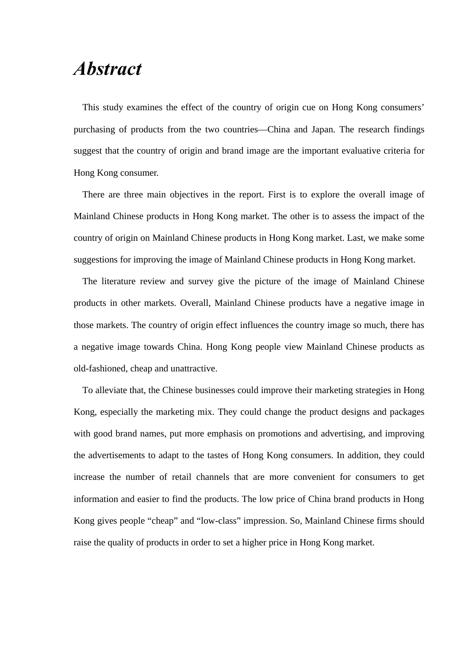## *Abstract*

This study examines the effect of the country of origin cue on Hong Kong consumers' purchasing of products from the two countries—China and Japan. The research findings suggest that the country of origin and brand image are the important evaluative criteria for Hong Kong consumer.

There are three main objectives in the report. First is to explore the overall image of Mainland Chinese products in Hong Kong market. The other is to assess the impact of the country of origin on Mainland Chinese products in Hong Kong market. Last, we make some suggestions for improving the image of Mainland Chinese products in Hong Kong market.

The literature review and survey give the picture of the image of Mainland Chinese products in other markets. Overall, Mainland Chinese products have a negative image in those markets. The country of origin effect influences the country image so much, there has a negative image towards China. Hong Kong people view Mainland Chinese products as old-fashioned, cheap and unattractive.

To alleviate that, the Chinese businesses could improve their marketing strategies in Hong Kong, especially the marketing mix. They could change the product designs and packages with good brand names, put more emphasis on promotions and advertising, and improving the advertisements to adapt to the tastes of Hong Kong consumers. In addition, they could increase the number of retail channels that are more convenient for consumers to get information and easier to find the products. The low price of China brand products in Hong Kong gives people "cheap" and "low-class" impression. So, Mainland Chinese firms should raise the quality of products in order to set a higher price in Hong Kong market.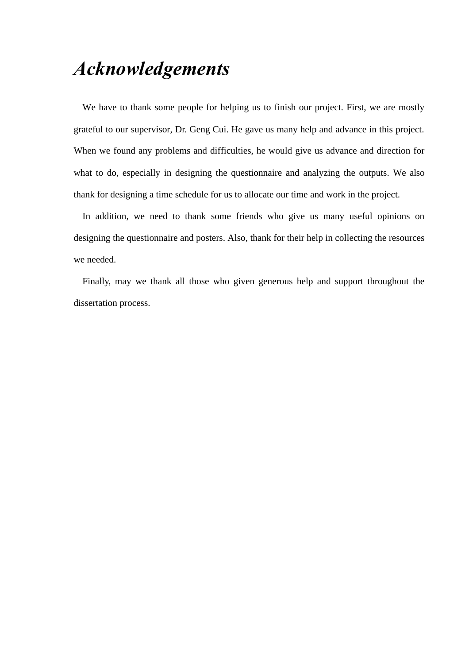## *Acknowledgements*

We have to thank some people for helping us to finish our project. First, we are mostly grateful to our supervisor, Dr. Geng Cui. He gave us many help and advance in this project. When we found any problems and difficulties, he would give us advance and direction for what to do, especially in designing the questionnaire and analyzing the outputs. We also thank for designing a time schedule for us to allocate our time and work in the project.

In addition, we need to thank some friends who give us many useful opinions on designing the questionnaire and posters. Also, thank for their help in collecting the resources we needed.

Finally, may we thank all those who given generous help and support throughout the dissertation process.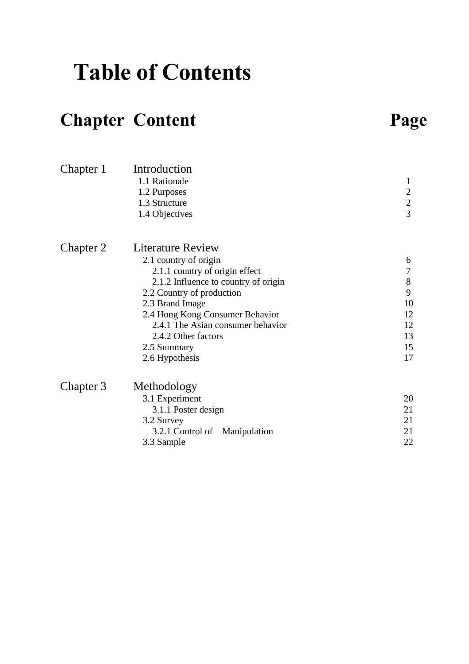# **Table of Contents**

## **Chapter Content**

| аор<br>ω |
|----------|
|----------|

| Chapter 1 | Introduction<br>1.1 Rationale<br>1.2 Purposes<br>1.3 Structure<br>1.4 Objectives                                                                                                                                                                                                                     | 1<br>$\sqrt{2}$<br>$\overline{c}$<br>$\overline{3}$                     |
|-----------|------------------------------------------------------------------------------------------------------------------------------------------------------------------------------------------------------------------------------------------------------------------------------------------------------|-------------------------------------------------------------------------|
| Chapter 2 | Literature Review<br>2.1 country of origin<br>2.1.1 country of origin effect<br>2.1.2 Influence to country of origin<br>2.2 Country of production<br>2.3 Brand Image<br>2.4 Hong Kong Consumer Behavior<br>2.4.1 The Asian consumer behavior<br>2.4.2 Other factors<br>2.5 Summary<br>2.6 Hypothesis | 6<br>$\boldsymbol{7}$<br>$8\,$<br>9<br>10<br>12<br>12<br>13<br>15<br>17 |
| Chapter 3 | Methodology<br>3.1 Experiment<br>3.1.1 Poster design<br>3.2 Survey<br>Manipulation<br>3.2.1 Control of<br>3.3 Sample                                                                                                                                                                                 | 20<br>21<br>21<br>21<br>22                                              |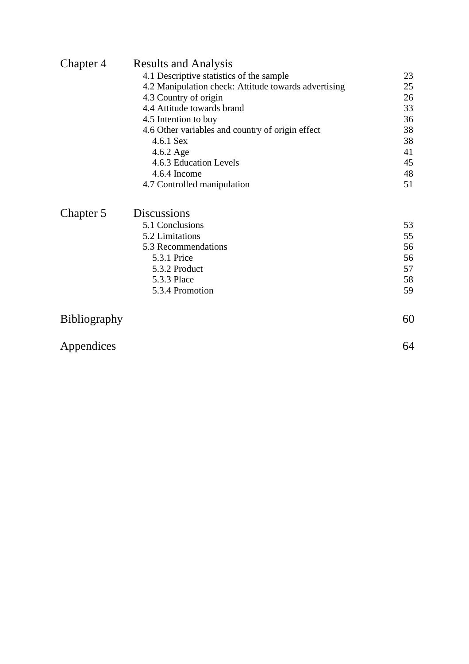| Chapter 4 | <b>Results and Analysis</b>                          |    |
|-----------|------------------------------------------------------|----|
|           | 4.1 Descriptive statistics of the sample             | 23 |
|           | 4.2 Manipulation check: Attitude towards advertising | 25 |
|           | 4.3 Country of origin                                | 26 |
|           | 4.4 Attitude towards brand                           | 33 |
|           | 4.5 Intention to buy                                 | 36 |
|           | 4.6 Other variables and country of origin effect     | 38 |
|           | $4.6.1$ Sex                                          | 38 |
|           | $4.6.2$ Age                                          | 41 |
|           | 4.6.3 Education Levels                               | 45 |
|           | 4.6.4 Income                                         | 48 |
|           | 4.7 Controlled manipulation                          | 51 |
| Chapter 5 | <b>Discussions</b>                                   |    |
|           | 5.1 Conclusions                                      | 53 |
|           | 5.2 Limitations                                      | 55 |
|           | 5.3 Recommendations                                  | 56 |
|           | 5.3.1 Price                                          | 56 |
|           | 5.3.2 Product                                        | 57 |

5.3.3 Place 5.3.4 Promotion 59 5.3.4 Promotion

| Bibliography | 60 |
|--------------|----|
| Appendices   | 64 |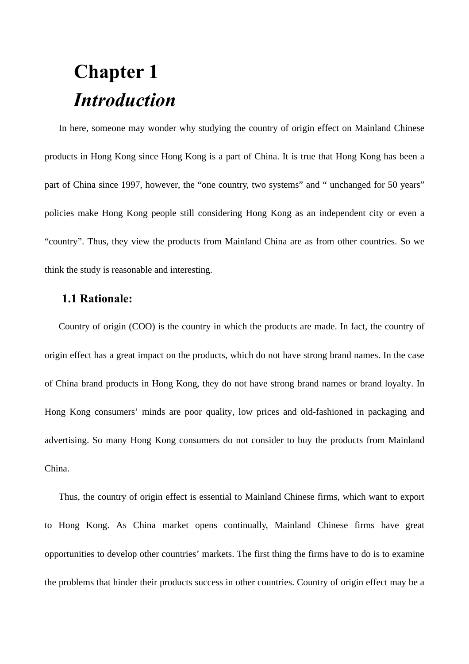# **Chapter 1** *Introduction*

In here, someone may wonder why studying the country of origin effect on Mainland Chinese products in Hong Kong since Hong Kong is a part of China. It is true that Hong Kong has been a part of China since 1997, however, the "one country, two systems" and " unchanged for 50 years" policies make Hong Kong people still considering Hong Kong as an independent city or even a "country". Thus, they view the products from Mainland China are as from other countries. So we think the study is reasonable and interesting.

## **1.1 Rationale:**

Country of origin (COO) is the country in which the products are made. In fact, the country of origin effect has a great impact on the products, which do not have strong brand names. In the case of China brand products in Hong Kong, they do not have strong brand names or brand loyalty. In Hong Kong consumers' minds are poor quality, low prices and old-fashioned in packaging and advertising. So many Hong Kong consumers do not consider to buy the products from Mainland China.

Thus, the country of origin effect is essential to Mainland Chinese firms, which want to export to Hong Kong. As China market opens continually, Mainland Chinese firms have great opportunities to develop other countries' markets. The first thing the firms have to do is to examine the problems that hinder their products success in other countries. Country of origin effect may be a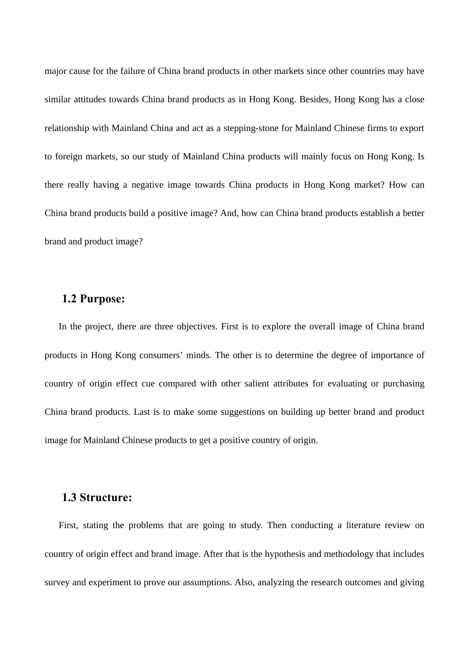major cause for the failure of China brand products in other markets since other countries may have similar attitudes towards China brand products as in Hong Kong. Besides, Hong Kong has a close relationship with Mainland China and act as a stepping-stone for Mainland Chinese firms to export to foreign markets, so our study of Mainland China products will mainly focus on Hong Kong. Is there really having a negative image towards China products in Hong Kong market? How can China brand products build a positive image? And, how can China brand products establish a better brand and product image?

## **1.2 Purpose:**

In the project, there are three objectives. First is to explore the overall image of China brand products in Hong Kong consumers' minds. The other is to determine the degree of importance of country of origin effect cue compared with other salient attributes for evaluating or purchasing China brand products. Last is to make some suggestions on building up better brand and product image for Mainland Chinese products to get a positive country of origin.

## **1.3 Structure:**

First, stating the problems that are going to study. Then conducting a literature review on country of origin effect and brand image. After that is the hypothesis and methodology that includes survey and experiment to prove our assumptions. Also, analyzing the research outcomes and giving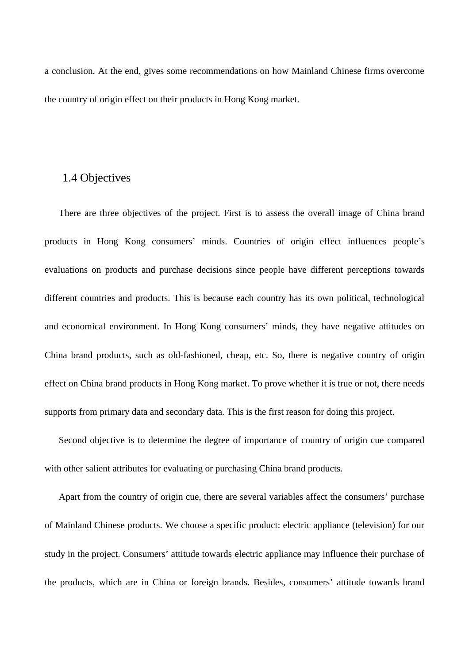a conclusion. At the end, gives some recommendations on how Mainland Chinese firms overcome the country of origin effect on their products in Hong Kong market.

## 1.4 Objectives

There are three objectives of the project. First is to assess the overall image of China brand products in Hong Kong consumers' minds. Countries of origin effect influences people's evaluations on products and purchase decisions since people have different perceptions towards different countries and products. This is because each country has its own political, technological and economical environment. In Hong Kong consumers' minds, they have negative attitudes on China brand products, such as old-fashioned, cheap, etc. So, there is negative country of origin effect on China brand products in Hong Kong market. To prove whether it is true or not, there needs supports from primary data and secondary data. This is the first reason for doing this project.

Second objective is to determine the degree of importance of country of origin cue compared with other salient attributes for evaluating or purchasing China brand products.

Apart from the country of origin cue, there are several variables affect the consumers' purchase of Mainland Chinese products. We choose a specific product: electric appliance (television) for our study in the project. Consumers' attitude towards electric appliance may influence their purchase of the products, which are in China or foreign brands. Besides, consumers' attitude towards brand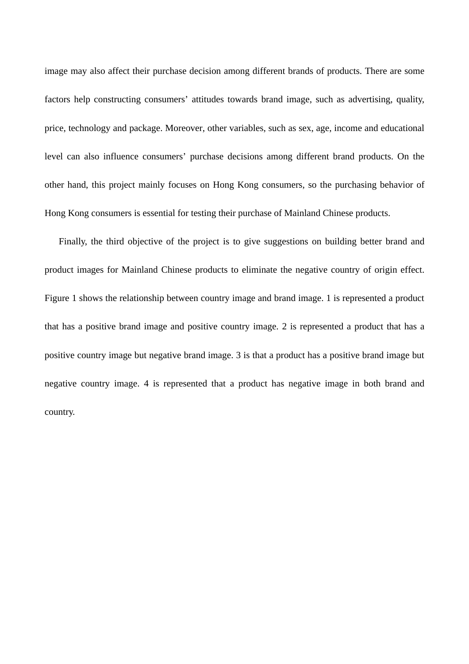image may also affect their purchase decision among different brands of products. There are some factors help constructing consumers' attitudes towards brand image, such as advertising, quality, price, technology and package. Moreover, other variables, such as sex, age, income and educational level can also influence consumers' purchase decisions among different brand products. On the other hand, this project mainly focuses on Hong Kong consumers, so the purchasing behavior of Hong Kong consumers is essential for testing their purchase of Mainland Chinese products.

Finally, the third objective of the project is to give suggestions on building better brand and product images for Mainland Chinese products to eliminate the negative country of origin effect. Figure 1 shows the relationship between country image and brand image. 1 is represented a product that has a positive brand image and positive country image. 2 is represented a product that has a positive country image but negative brand image. 3 is that a product has a positive brand image but negative country image. 4 is represented that a product has negative image in both brand and country.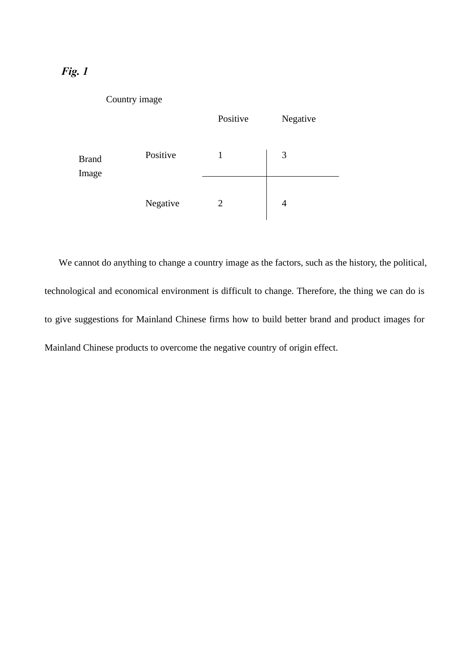## *Fig. 1*



We cannot do anything to change a country image as the factors, such as the history, the political, technological and economical environment is difficult to change. Therefore, the thing we can do is to give suggestions for Mainland Chinese firms how to build better brand and product images for Mainland Chinese products to overcome the negative country of origin effect.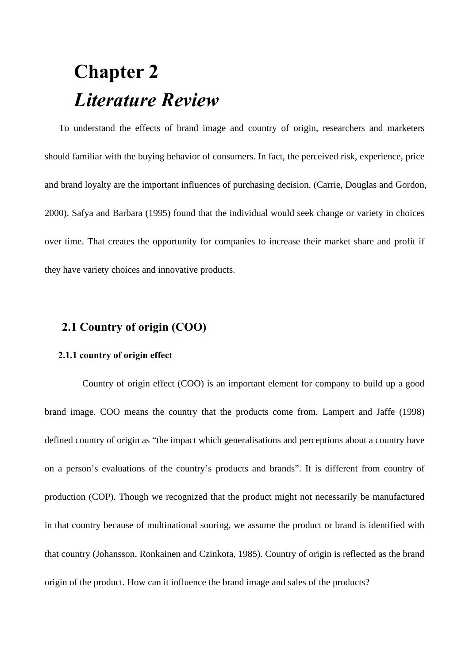# **Chapter 2** *Literature Review*

To understand the effects of brand image and country of origin, researchers and marketers should familiar with the buying behavior of consumers. In fact, the perceived risk, experience, price and brand loyalty are the important influences of purchasing decision. (Carrie, Douglas and Gordon, 2000). Safya and Barbara (1995) found that the individual would seek change or variety in choices over time. That creates the opportunity for companies to increase their market share and profit if they have variety choices and innovative products.

## **2.1 Country of origin (COO)**

### **2.1.1 country of origin effect**

Country of origin effect (COO) is an important element for company to build up a good brand image. COO means the country that the products come from. Lampert and Jaffe (1998) defined country of origin as "the impact which generalisations and perceptions about a country have on a person's evaluations of the country's products and brands". It is different from country of production (COP). Though we recognized that the product might not necessarily be manufactured in that country because of multinational souring, we assume the product or brand is identified with that country (Johansson, Ronkainen and Czinkota, 1985). Country of origin is reflected as the brand origin of the product. How can it influence the brand image and sales of the products?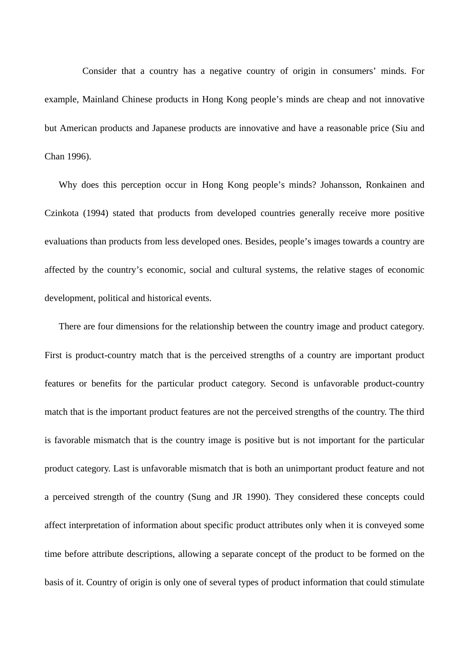Consider that a country has a negative country of origin in consumers' minds. For example, Mainland Chinese products in Hong Kong people's minds are cheap and not innovative but American products and Japanese products are innovative and have a reasonable price (Siu and Chan 1996).

Why does this perception occur in Hong Kong people's minds? Johansson, Ronkainen and Czinkota (1994) stated that products from developed countries generally receive more positive evaluations than products from less developed ones. Besides, people's images towards a country are affected by the country's economic, social and cultural systems, the relative stages of economic development, political and historical events.

There are four dimensions for the relationship between the country image and product category. First is product-country match that is the perceived strengths of a country are important product features or benefits for the particular product category. Second is unfavorable product-country match that is the important product features are not the perceived strengths of the country. The third is favorable mismatch that is the country image is positive but is not important for the particular product category. Last is unfavorable mismatch that is both an unimportant product feature and not a perceived strength of the country (Sung and JR 1990). They considered these concepts could affect interpretation of information about specific product attributes only when it is conveyed some time before attribute descriptions, allowing a separate concept of the product to be formed on the basis of it. Country of origin is only one of several types of product information that could stimulate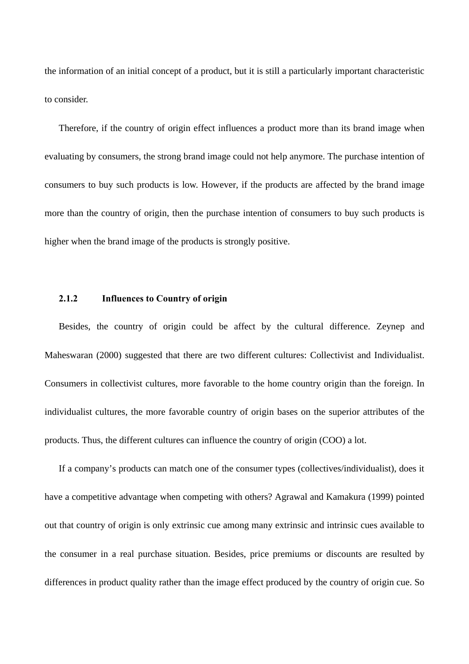the information of an initial concept of a product, but it is still a particularly important characteristic to consider.

Therefore, if the country of origin effect influences a product more than its brand image when evaluating by consumers, the strong brand image could not help anymore. The purchase intention of consumers to buy such products is low. However, if the products are affected by the brand image more than the country of origin, then the purchase intention of consumers to buy such products is higher when the brand image of the products is strongly positive.

### **2.1.2 Influences to Country of origin**

Besides, the country of origin could be affect by the cultural difference. Zeynep and Maheswaran (2000) suggested that there are two different cultures: Collectivist and Individualist. Consumers in collectivist cultures, more favorable to the home country origin than the foreign. In individualist cultures, the more favorable country of origin bases on the superior attributes of the products. Thus, the different cultures can influence the country of origin (COO) a lot.

If a company's products can match one of the consumer types (collectives/individualist), does it have a competitive advantage when competing with others? Agrawal and Kamakura (1999) pointed out that country of origin is only extrinsic cue among many extrinsic and intrinsic cues available to the consumer in a real purchase situation. Besides, price premiums or discounts are resulted by differences in product quality rather than the image effect produced by the country of origin cue. So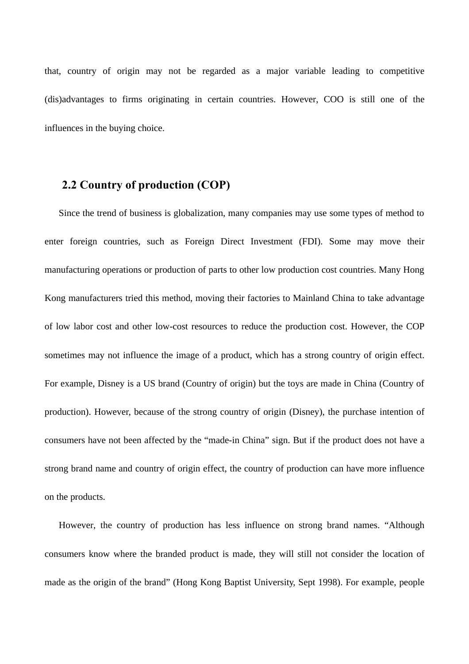that, country of origin may not be regarded as a major variable leading to competitive (dis)advantages to firms originating in certain countries. However, COO is still one of the influences in the buying choice.

## **2.2 Country of production (COP)**

Since the trend of business is globalization, many companies may use some types of method to enter foreign countries, such as Foreign Direct Investment (FDI). Some may move their manufacturing operations or production of parts to other low production cost countries. Many Hong Kong manufacturers tried this method, moving their factories to Mainland China to take advantage of low labor cost and other low-cost resources to reduce the production cost. However, the COP sometimes may not influence the image of a product, which has a strong country of origin effect. For example, Disney is a US brand (Country of origin) but the toys are made in China (Country of production). However, because of the strong country of origin (Disney), the purchase intention of consumers have not been affected by the "made-in China" sign. But if the product does not have a strong brand name and country of origin effect, the country of production can have more influence on the products.

However, the country of production has less influence on strong brand names. "Although consumers know where the branded product is made, they will still not consider the location of made as the origin of the brand" (Hong Kong Baptist University, Sept 1998). For example, people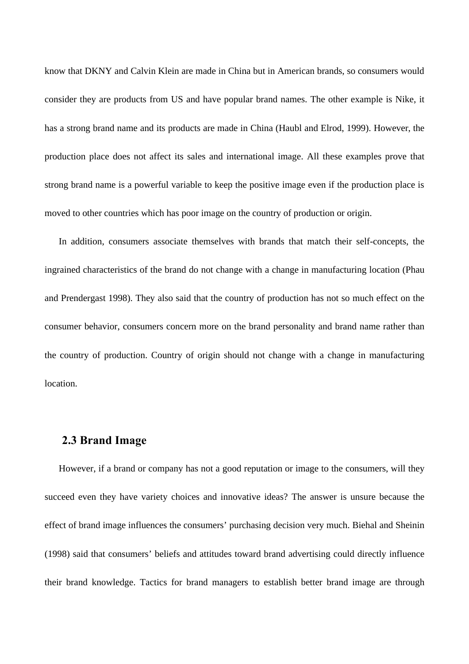know that DKNY and Calvin Klein are made in China but in American brands, so consumers would consider they are products from US and have popular brand names. The other example is Nike, it has a strong brand name and its products are made in China (Haubl and Elrod, 1999). However, the production place does not affect its sales and international image. All these examples prove that strong brand name is a powerful variable to keep the positive image even if the production place is moved to other countries which has poor image on the country of production or origin.

In addition, consumers associate themselves with brands that match their self-concepts, the ingrained characteristics of the brand do not change with a change in manufacturing location (Phau and Prendergast 1998). They also said that the country of production has not so much effect on the consumer behavior, consumers concern more on the brand personality and brand name rather than the country of production. Country of origin should not change with a change in manufacturing location.

### **2.3 Brand Image**

However, if a brand or company has not a good reputation or image to the consumers, will they succeed even they have variety choices and innovative ideas? The answer is unsure because the effect of brand image influences the consumers' purchasing decision very much. Biehal and Sheinin (1998) said that consumers' beliefs and attitudes toward brand advertising could directly influence their brand knowledge. Tactics for brand managers to establish better brand image are through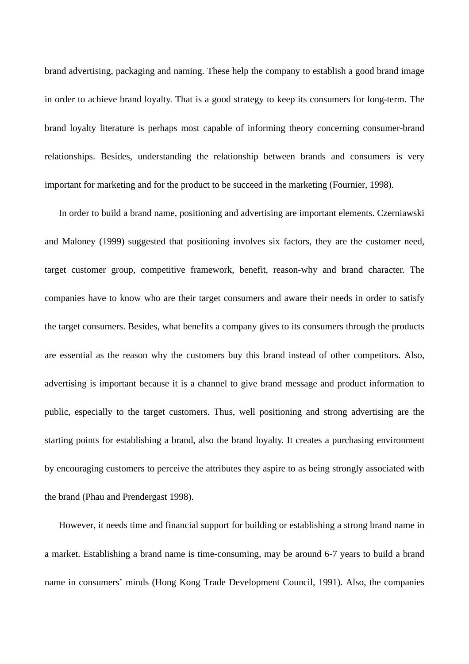brand advertising, packaging and naming. These help the company to establish a good brand image in order to achieve brand loyalty. That is a good strategy to keep its consumers for long-term. The brand loyalty literature is perhaps most capable of informing theory concerning consumer-brand relationships. Besides, understanding the relationship between brands and consumers is very important for marketing and for the product to be succeed in the marketing (Fournier, 1998).

In order to build a brand name, positioning and advertising are important elements. Czerniawski and Maloney (1999) suggested that positioning involves six factors, they are the customer need, target customer group, competitive framework, benefit, reason-why and brand character. The companies have to know who are their target consumers and aware their needs in order to satisfy the target consumers. Besides, what benefits a company gives to its consumers through the products are essential as the reason why the customers buy this brand instead of other competitors. Also, advertising is important because it is a channel to give brand message and product information to public, especially to the target customers. Thus, well positioning and strong advertising are the starting points for establishing a brand, also the brand loyalty. It creates a purchasing environment by encouraging customers to perceive the attributes they aspire to as being strongly associated with the brand (Phau and Prendergast 1998).

However, it needs time and financial support for building or establishing a strong brand name in a market. Establishing a brand name is time-consuming, may be around 6-7 years to build a brand name in consumers' minds (Hong Kong Trade Development Council, 1991). Also, the companies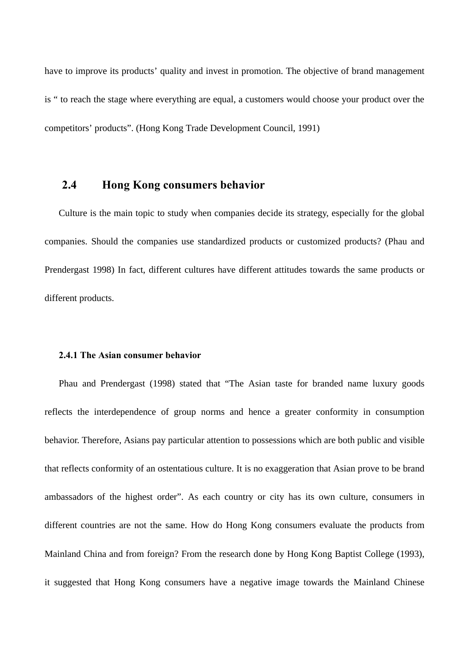have to improve its products' quality and invest in promotion. The objective of brand management is " to reach the stage where everything are equal, a customers would choose your product over the competitors' products". (Hong Kong Trade Development Council, 1991)

## **2.4 Hong Kong consumers behavior**

Culture is the main topic to study when companies decide its strategy, especially for the global companies. Should the companies use standardized products or customized products? (Phau and Prendergast 1998) In fact, different cultures have different attitudes towards the same products or different products.

### **2.4.1 The Asian consumer behavior**

Phau and Prendergast (1998) stated that "The Asian taste for branded name luxury goods reflects the interdependence of group norms and hence a greater conformity in consumption behavior. Therefore, Asians pay particular attention to possessions which are both public and visible that reflects conformity of an ostentatious culture. It is no exaggeration that Asian prove to be brand ambassadors of the highest order". As each country or city has its own culture, consumers in different countries are not the same. How do Hong Kong consumers evaluate the products from Mainland China and from foreign? From the research done by Hong Kong Baptist College (1993), it suggested that Hong Kong consumers have a negative image towards the Mainland Chinese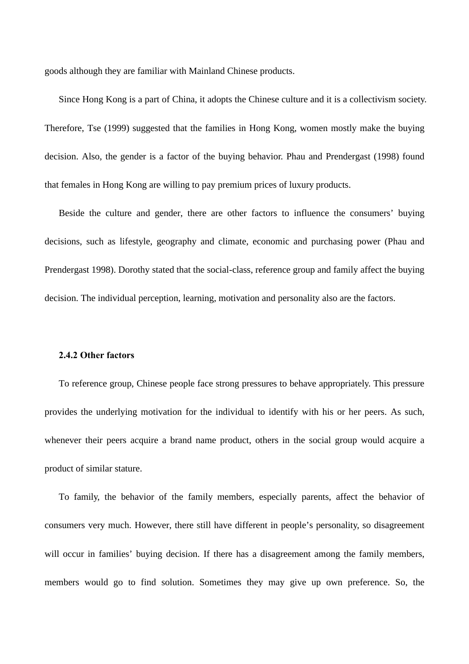goods although they are familiar with Mainland Chinese products.

Since Hong Kong is a part of China, it adopts the Chinese culture and it is a collectivism society. Therefore, Tse (1999) suggested that the families in Hong Kong, women mostly make the buying decision. Also, the gender is a factor of the buying behavior. Phau and Prendergast (1998) found that females in Hong Kong are willing to pay premium prices of luxury products.

Beside the culture and gender, there are other factors to influence the consumers' buying decisions, such as lifestyle, geography and climate, economic and purchasing power (Phau and Prendergast 1998). Dorothy stated that the social-class, reference group and family affect the buying decision. The individual perception, learning, motivation and personality also are the factors.

### **2.4.2 Other factors**

To reference group, Chinese people face strong pressures to behave appropriately. This pressure provides the underlying motivation for the individual to identify with his or her peers. As such, whenever their peers acquire a brand name product, others in the social group would acquire a product of similar stature.

To family, the behavior of the family members, especially parents, affect the behavior of consumers very much. However, there still have different in people's personality, so disagreement will occur in families' buying decision. If there has a disagreement among the family members, members would go to find solution. Sometimes they may give up own preference. So, the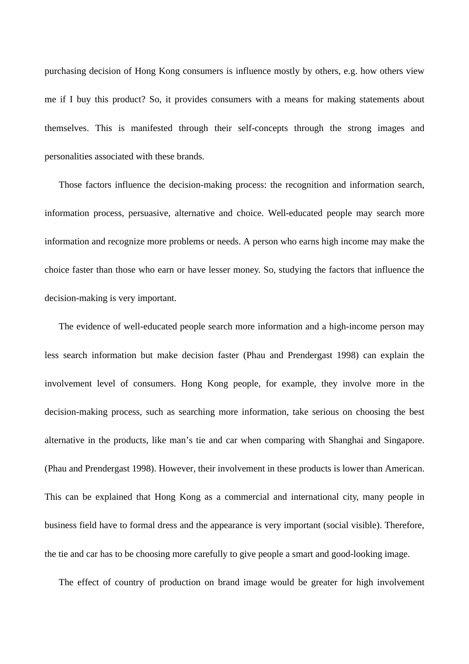purchasing decision of Hong Kong consumers is influence mostly by others, e.g. how others view me if I buy this product? So, it provides consumers with a means for making statements about themselves. This is manifested through their self-concepts through the strong images and personalities associated with these brands.

Those factors influence the decision-making process: the recognition and information search, information process, persuasive, alternative and choice. Well-educated people may search more information and recognize more problems or needs. A person who earns high income may make the choice faster than those who earn or have lesser money. So, studying the factors that influence the decision-making is very important.

The evidence of well-educated people search more information and a high-income person may less search information but make decision faster (Phau and Prendergast 1998) can explain the involvement level of consumers. Hong Kong people, for example, they involve more in the decision-making process, such as searching more information, take serious on choosing the best alternative in the products, like man's tie and car when comparing with Shanghai and Singapore. (Phau and Prendergast 1998). However, their involvement in these products is lower than American. This can be explained that Hong Kong as a commercial and international city, many people in business field have to formal dress and the appearance is very important (social visible). Therefore, the tie and car has to be choosing more carefully to give people a smart and good-looking image.

The effect of country of production on brand image would be greater for high involvement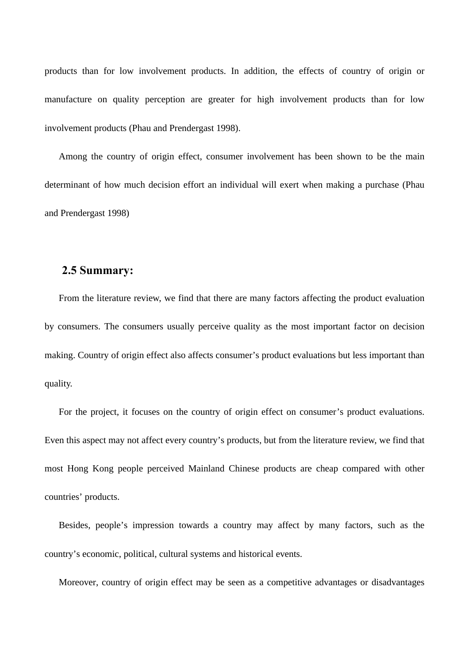products than for low involvement products. In addition, the effects of country of origin or manufacture on quality perception are greater for high involvement products than for low involvement products (Phau and Prendergast 1998).

Among the country of origin effect, consumer involvement has been shown to be the main determinant of how much decision effort an individual will exert when making a purchase (Phau and Prendergast 1998)

## **2.5 Summary:**

From the literature review, we find that there are many factors affecting the product evaluation by consumers. The consumers usually perceive quality as the most important factor on decision making. Country of origin effect also affects consumer's product evaluations but less important than quality.

For the project, it focuses on the country of origin effect on consumer's product evaluations. Even this aspect may not affect every country's products, but from the literature review, we find that most Hong Kong people perceived Mainland Chinese products are cheap compared with other countries' products.

Besides, people's impression towards a country may affect by many factors, such as the country's economic, political, cultural systems and historical events.

Moreover, country of origin effect may be seen as a competitive advantages or disadvantages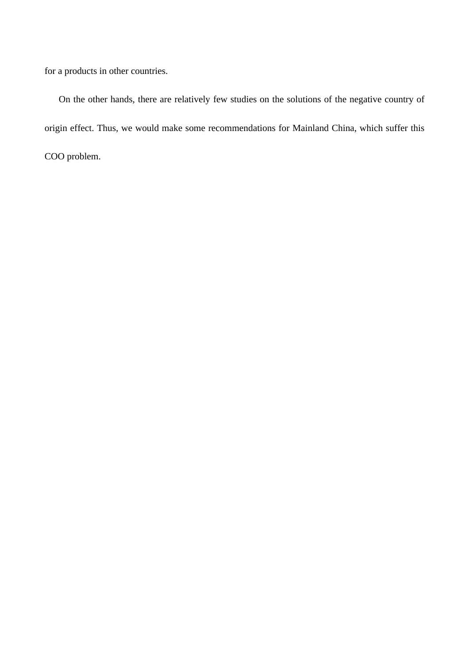for a products in other countries.

On the other hands, there are relatively few studies on the solutions of the negative country of origin effect. Thus, we would make some recommendations for Mainland China, which suffer this COO problem.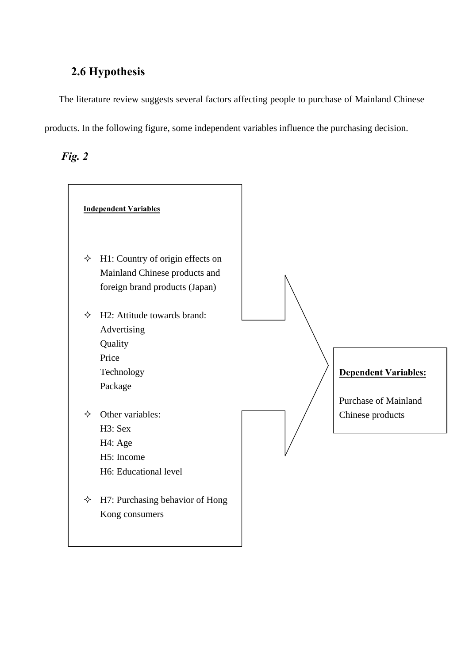## **2.6 Hypothesis**

The literature review suggests several factors affecting people to purchase of Mainland Chinese products. In the following figure, some independent variables influence the purchasing decision.

*Fig. 2*

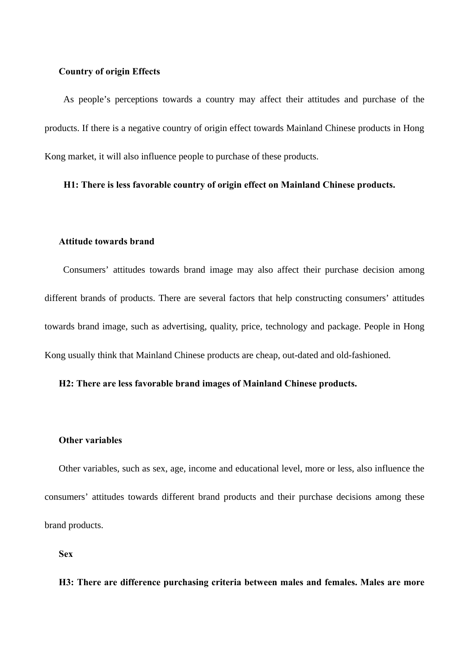#### **Country of origin Effects**

 As people's perceptions towards a country may affect their attitudes and purchase of the products. If there is a negative country of origin effect towards Mainland Chinese products in Hong Kong market, it will also influence people to purchase of these products.

### **H1: There is less favorable country of origin effect on Mainland Chinese products.**

### **Attitude towards brand**

 Consumers' attitudes towards brand image may also affect their purchase decision among different brands of products. There are several factors that help constructing consumers' attitudes towards brand image, such as advertising, quality, price, technology and package. People in Hong Kong usually think that Mainland Chinese products are cheap, out-dated and old-fashioned.

### **H2: There are less favorable brand images of Mainland Chinese products.**

### **Other variables**

Other variables, such as sex, age, income and educational level, more or less, also influence the consumers' attitudes towards different brand products and their purchase decisions among these brand products.

**Sex**

### **H3: There are difference purchasing criteria between males and females. Males are more**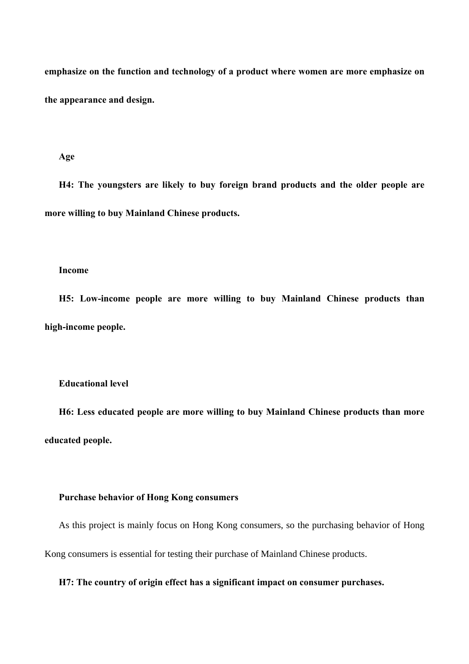**emphasize on the function and technology of a product where women are more emphasize on the appearance and design.**

#### **Age**

**H4: The youngsters are likely to buy foreign brand products and the older people are more willing to buy Mainland Chinese products.**

### **Income**

**H5: Low-income people are more willing to buy Mainland Chinese products than high-income people.**

### **Educational level**

**H6: Less educated people are more willing to buy Mainland Chinese products than more educated people.**

### **Purchase behavior of Hong Kong consumers**

As this project is mainly focus on Hong Kong consumers, so the purchasing behavior of Hong

Kong consumers is essential for testing their purchase of Mainland Chinese products.

### **H7: The country of origin effect has a significant impact on consumer purchases.**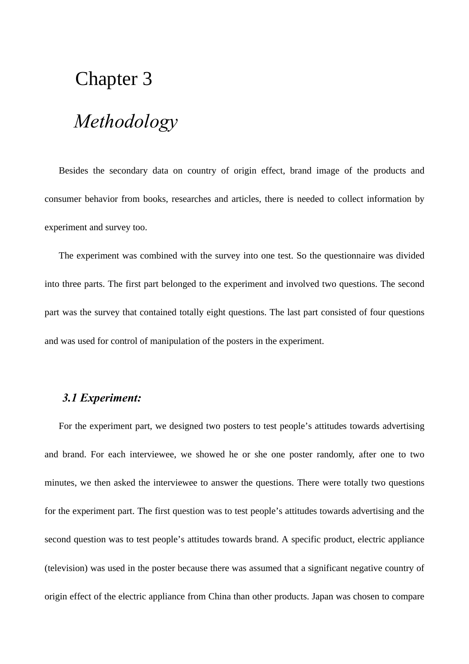## Chapter 3

## *Methodology*

Besides the secondary data on country of origin effect, brand image of the products and consumer behavior from books, researches and articles, there is needed to collect information by experiment and survey too.

The experiment was combined with the survey into one test. So the questionnaire was divided into three parts. The first part belonged to the experiment and involved two questions. The second part was the survey that contained totally eight questions. The last part consisted of four questions and was used for control of manipulation of the posters in the experiment.

## *3.1 Experiment:*

For the experiment part, we designed two posters to test people's attitudes towards advertising and brand. For each interviewee, we showed he or she one poster randomly, after one to two minutes, we then asked the interviewee to answer the questions. There were totally two questions for the experiment part. The first question was to test people's attitudes towards advertising and the second question was to test people's attitudes towards brand. A specific product, electric appliance (television) was used in the poster because there was assumed that a significant negative country of origin effect of the electric appliance from China than other products. Japan was chosen to compare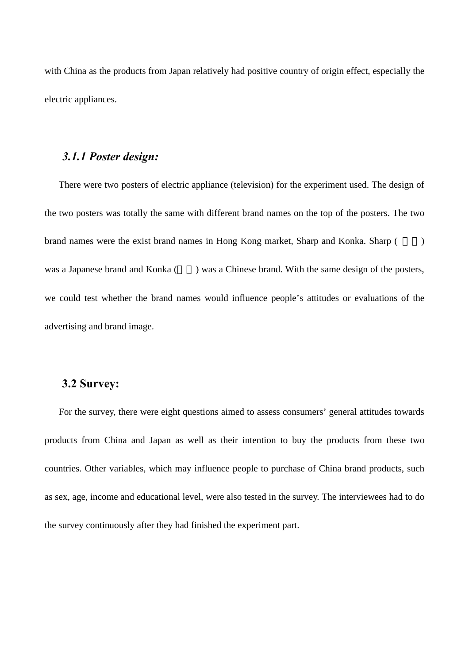with China as the products from Japan relatively had positive country of origin effect, especially the electric appliances.

### *3.1.1 Poster design:*

There were two posters of electric appliance (television) for the experiment used. The design of the two posters was totally the same with different brand names on the top of the posters. The two brand names were the exist brand names in Hong Kong market, Sharp and Konka. Sharp ( $\qquad$ ) was a Japanese brand and Konka () was a Chinese brand. With the same design of the posters, we could test whether the brand names would influence people's attitudes or evaluations of the advertising and brand image.

## **3.2 Survey:**

For the survey, there were eight questions aimed to assess consumers' general attitudes towards products from China and Japan as well as their intention to buy the products from these two countries. Other variables, which may influence people to purchase of China brand products, such as sex, age, income and educational level, were also tested in the survey. The interviewees had to do the survey continuously after they had finished the experiment part.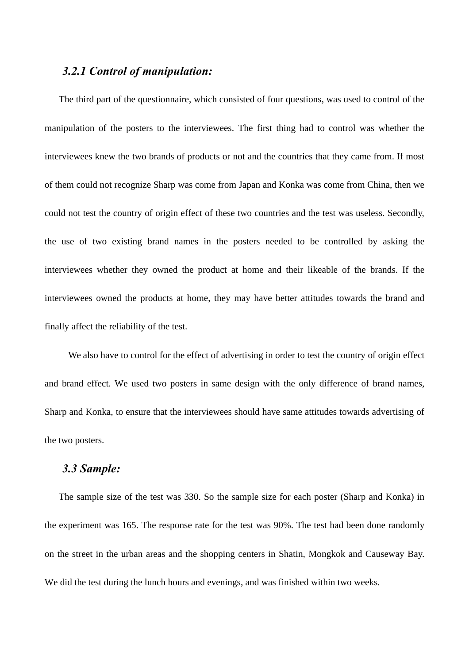## *3.2.1 Control of manipulation:*

The third part of the questionnaire, which consisted of four questions, was used to control of the manipulation of the posters to the interviewees. The first thing had to control was whether the interviewees knew the two brands of products or not and the countries that they came from. If most of them could not recognize Sharp was come from Japan and Konka was come from China, then we could not test the country of origin effect of these two countries and the test was useless. Secondly, the use of two existing brand names in the posters needed to be controlled by asking the interviewees whether they owned the product at home and their likeable of the brands. If the interviewees owned the products at home, they may have better attitudes towards the brand and finally affect the reliability of the test.

 We also have to control for the effect of advertising in order to test the country of origin effect and brand effect. We used two posters in same design with the only difference of brand names, Sharp and Konka, to ensure that the interviewees should have same attitudes towards advertising of the two posters.

## *3.3 Sample:*

The sample size of the test was 330. So the sample size for each poster (Sharp and Konka) in the experiment was 165. The response rate for the test was 90%. The test had been done randomly on the street in the urban areas and the shopping centers in Shatin, Mongkok and Causeway Bay. We did the test during the lunch hours and evenings, and was finished within two weeks.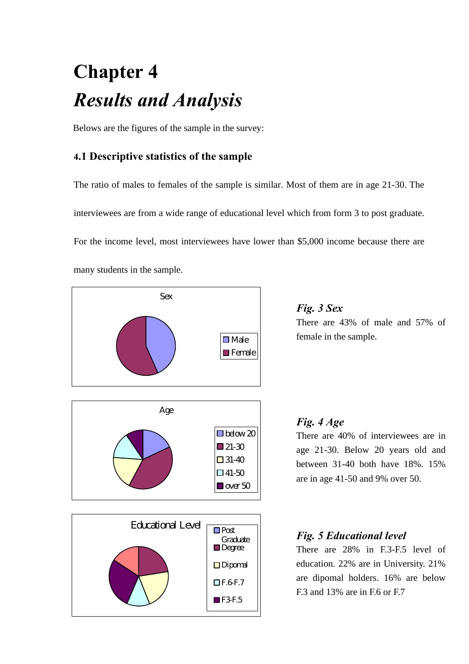# **Chapter 4** *Results and Analysis*

Belows are the figures of the sample in the survey:

## **4.1 Descriptive statistics of the sample**

The ratio of males to females of the sample is similar. Most of them are in age 21-30. The interviewees are from a wide range of educational level which from form 3 to post graduate. For the income level, most interviewees have lower than \$5,000 income because there are many students in the sample.



*Fig. 3 Sex* There are 43% of male and 57% of female in the sample.

## *Fig. 4 Age*

There are 40% of interviewees are in age 21-30. Below 20 years old and between 31-40 both have 18%. 15% are in age 41-50 and 9% over 50.

## *Fig. 5 Educational level*

There are 28% in F.3-F.5 level of education. 22% are in University. 21% are dipomal holders. 16% are below F.3 and 13% are in F.6 or F.7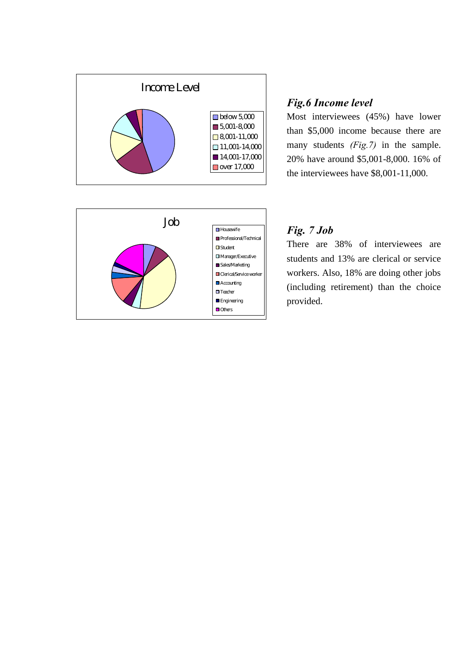



Most interviewees (45%) have lower than \$5,000 income because there are many students *(Fig.7)* in the sample. 20% have around \$5,001-8,000. 16% of the interviewees have \$8,001-11,000.



## *Fig. 7 Job*

There are 38% of interviewees are students and 13% are clerical or service workers. Also, 18% are doing other jobs (including retirement) than the choice provided.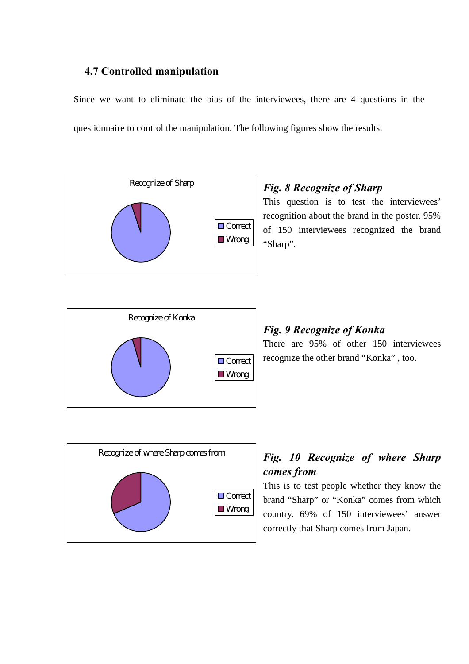## **4.7 Controlled manipulation**

Since we want to eliminate the bias of the interviewees, there are 4 questions in the questionnaire to control the manipulation. The following figures show the results.



## *Fig. 8 Recognize of Sharp*

This question is to test the interviewees' recognition about the brand in the poster. 95% of 150 interviewees recognized the brand "Sharp".



## *Fig. 9 Recognize of Konka*

There are 95% of other 150 interviewees recognize the other brand "Konka" , too.



## *Fig. 10 Recognize of where Sharp comes from*

This is to test people whether they know the brand "Sharp" or "Konka" comes from which country. 69% of 150 interviewees' answer correctly that Sharp comes from Japan.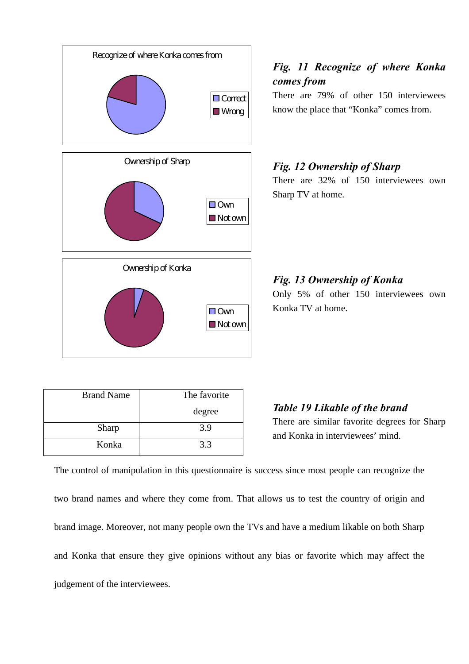

## *Fig. 11 Recognize of where Konka comes from*

There are 79% of other 150 interviewees know the place that "Konka" comes from.

## *Fig. 12 Ownership of Sharp* There are 32% of 150 interviewees own

Sharp TV at home.

*Fig. 13 Ownership of Konka* Only 5% of other 150 interviewees own Konka TV at home.

| <b>Brand Name</b> | The favorite |
|-------------------|--------------|
|                   | degree       |
| Sharp             | 3.9          |
| Konka             | 3.3          |

*Table 19 Likable of the brand*

There are similar favorite degrees for Sharp and Konka in interviewees' mind.

The control of manipulation in this questionnaire is success since most people can recognize the two brand names and where they come from. That allows us to test the country of origin and brand image. Moreover, not many people own the TVs and have a medium likable on both Sharp and Konka that ensure they give opinions without any bias or favorite which may affect the judgement of the interviewees.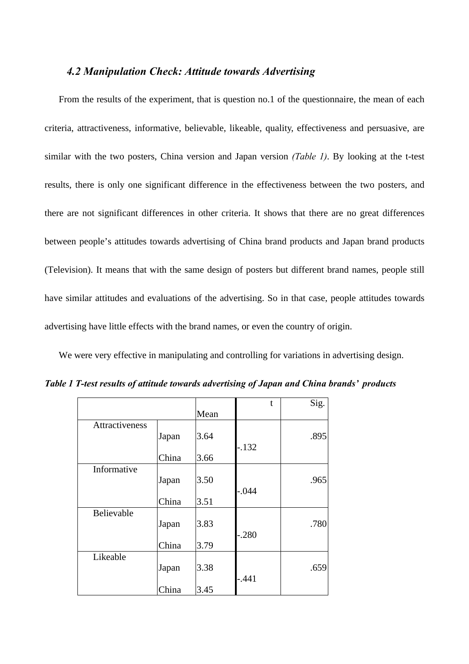### *4.2 Manipulation Check: Attitude towards Advertising*

From the results of the experiment, that is question no.1 of the questionnaire, the mean of each criteria, attractiveness, informative, believable, likeable, quality, effectiveness and persuasive, are similar with the two posters, China version and Japan version *(Table 1)*. By looking at the t-test results, there is only one significant difference in the effectiveness between the two posters, and there are not significant differences in other criteria. It shows that there are no great differences between people's attitudes towards advertising of China brand products and Japan brand products (Television). It means that with the same design of posters but different brand names, people still have similar attitudes and evaluations of the advertising. So in that case, people attitudes towards advertising have little effects with the brand names, or even the country of origin.

We were very effective in manipulating and controlling for variations in advertising design.

|                |       |      | t       | Sig. |
|----------------|-------|------|---------|------|
|                |       | Mean |         |      |
| Attractiveness |       |      |         |      |
|                | Japan | 3.64 |         | .895 |
|                |       |      | $-.132$ |      |
|                | China | 3.66 |         |      |
| Informative    |       |      |         |      |
|                | Japan | 3.50 |         | .965 |
|                |       |      | $-.044$ |      |
|                | China | 3.51 |         |      |
| Believable     |       |      |         |      |
|                | Japan | 3.83 |         | .780 |
|                |       |      | $-.280$ |      |
|                | China | 3.79 |         |      |
| Likeable       |       |      |         |      |
|                | Japan | 3.38 |         | .659 |
|                |       |      | $-.441$ |      |
|                | China | 3.45 |         |      |

*Table 1 T-test results of attitude towards advertising of Japan and China brands' products*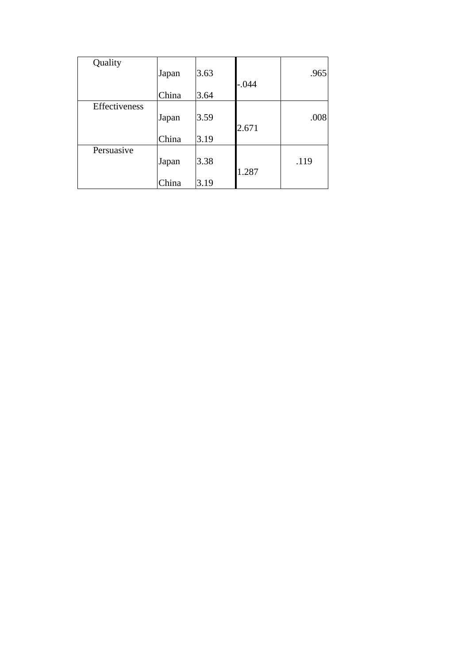| Quality       |       |      |         |      |
|---------------|-------|------|---------|------|
|               | Japan | 3.63 |         | .965 |
|               |       |      | $-.044$ |      |
|               | China | 3.64 |         |      |
| Effectiveness |       |      |         |      |
|               | Japan | 3.59 |         | .008 |
|               |       |      | 2.671   |      |
|               | China | 3.19 |         |      |
| Persuasive    |       |      |         |      |
|               | Japan | 3.38 |         | .119 |
|               |       |      | 1.287   |      |
|               | China | 3.19 |         |      |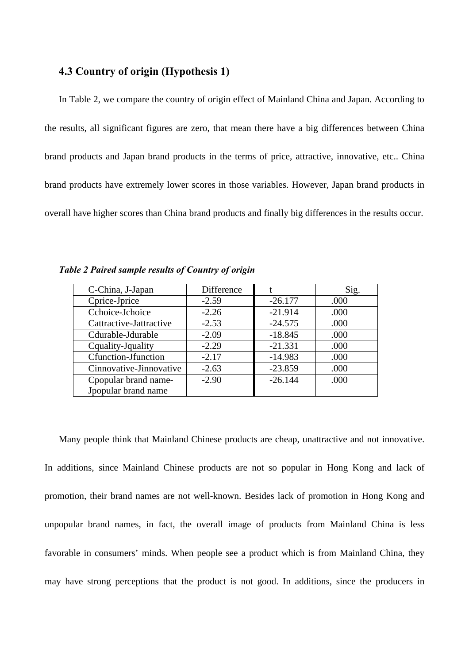### **4.3 Country of origin (Hypothesis 1)**

In Table 2, we compare the country of origin effect of Mainland China and Japan. According to the results, all significant figures are zero, that mean there have a big differences between China brand products and Japan brand products in the terms of price, attractive, innovative, etc.. China brand products have extremely lower scores in those variables. However, Japan brand products in overall have higher scores than China brand products and finally big differences in the results occur.

| C-China, J-Japan        | Difference |           | Sig. |
|-------------------------|------------|-----------|------|
| Cprice-Jprice           | $-2.59$    | $-26.177$ | .000 |
| Cchoice-Jchoice         | $-2.26$    | $-21.914$ | .000 |
| Cattractive-Jattractive | $-2.53$    | $-24.575$ | .000 |
| Cdurable-Jdurable       | $-2.09$    | $-18.845$ | .000 |
| Cquality-Jquality       | $-2.29$    | $-21.331$ | .000 |
| Cfunction-Jfunction     | $-2.17$    | $-14.983$ | .000 |
| Cinnovative-Jinnovative | $-2.63$    | $-23.859$ | .000 |
| Cpopular brand name-    | $-2.90$    | $-26.144$ | .000 |
| Jpopular brand name     |            |           |      |

*Table 2 Paired sample results of Country of origin* 

Many people think that Mainland Chinese products are cheap, unattractive and not innovative. In additions, since Mainland Chinese products are not so popular in Hong Kong and lack of promotion, their brand names are not well-known. Besides lack of promotion in Hong Kong and unpopular brand names, in fact, the overall image of products from Mainland China is less favorable in consumers' minds. When people see a product which is from Mainland China, they may have strong perceptions that the product is not good. In additions, since the producers in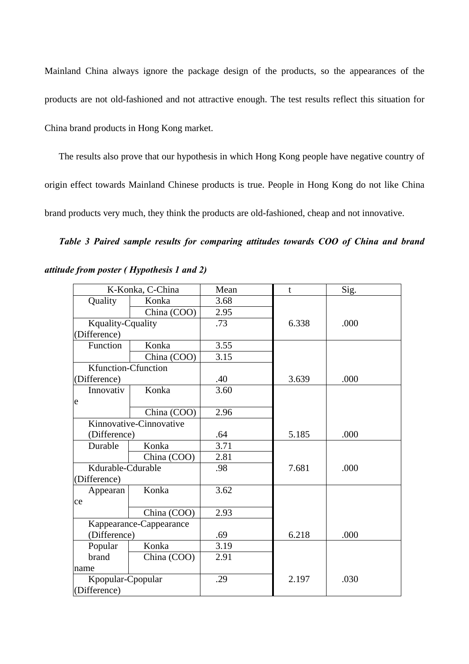Mainland China always ignore the package design of the products, so the appearances of the products are not old-fashioned and not attractive enough. The test results reflect this situation for China brand products in Hong Kong market.

The results also prove that our hypothesis in which Hong Kong people have negative country of origin effect towards Mainland Chinese products is true. People in Hong Kong do not like China brand products very much, they think the products are old-fashioned, cheap and not innovative.

*Table 3 Paired sample results for comparing attitudes towards COO of China and brand*

|                          | K-Konka, C-China        | Mean | t     | Sig. |
|--------------------------|-------------------------|------|-------|------|
| Quality                  | Konka                   | 3.68 |       |      |
|                          | China (COO)             | 2.95 |       |      |
| <b>Kquality-Cquality</b> |                         | .73  | 6.338 | .000 |
| (Difference)             |                         |      |       |      |
| Function                 | Konka                   | 3.55 |       |      |
|                          | China (COO)             | 3.15 |       |      |
| Kfunction-Cfunction      |                         |      |       |      |
| (Difference)             |                         | .40  | 3.639 | .000 |
| Innovativ                | Konka                   | 3.60 |       |      |
| e                        |                         |      |       |      |
|                          | China (COO)             | 2.96 |       |      |
|                          | Kinnovative-Cinnovative |      |       |      |
| (Difference)             |                         | .64  | 5.185 | .000 |
| Durable                  | Konka                   | 3.71 |       |      |
|                          | China (COO)             | 2.81 |       |      |
| Kdurable-Cdurable        |                         | .98  | 7.681 | .000 |
| (Difference)             |                         |      |       |      |
| Appearan                 | Konka                   | 3.62 |       |      |
| ce                       |                         |      |       |      |
|                          | China (COO)             | 2.93 |       |      |
|                          | Kappearance-Cappearance |      |       |      |
| (Difference)             |                         | .69  | 6.218 | .000 |
| Popular                  | Konka                   | 3.19 |       |      |
| brand                    | China (COO)             | 2.91 |       |      |
| name                     |                         |      |       |      |
| Kpopular-Cpopular        |                         | .29  | 2.197 | .030 |
| (Difference)             |                         |      |       |      |

*attitude from poster ( Hypothesis 1 and 2)*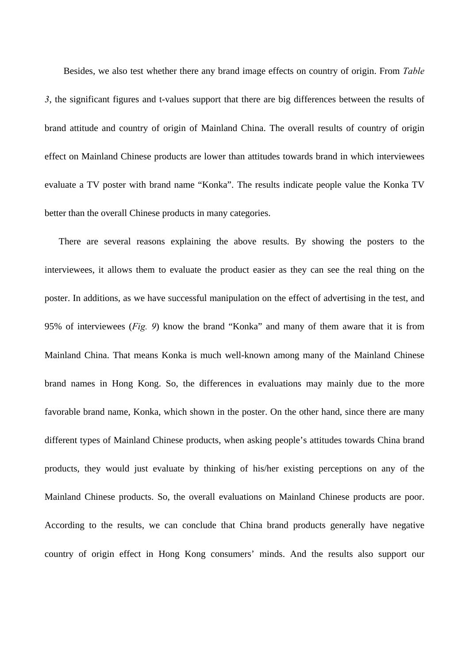Besides, we also test whether there any brand image effects on country of origin. From *Table 3*, the significant figures and t-values support that there are big differences between the results of brand attitude and country of origin of Mainland China. The overall results of country of origin effect on Mainland Chinese products are lower than attitudes towards brand in which interviewees evaluate a TV poster with brand name "Konka". The results indicate people value the Konka TV better than the overall Chinese products in many categories.

There are several reasons explaining the above results. By showing the posters to the interviewees, it allows them to evaluate the product easier as they can see the real thing on the poster. In additions, as we have successful manipulation on the effect of advertising in the test, and 95% of interviewees (*Fig. 9*) know the brand "Konka" and many of them aware that it is from Mainland China. That means Konka is much well-known among many of the Mainland Chinese brand names in Hong Kong. So, the differences in evaluations may mainly due to the more favorable brand name, Konka, which shown in the poster. On the other hand, since there are many different types of Mainland Chinese products, when asking people's attitudes towards China brand products, they would just evaluate by thinking of his/her existing perceptions on any of the Mainland Chinese products. So, the overall evaluations on Mainland Chinese products are poor. According to the results, we can conclude that China brand products generally have negative country of origin effect in Hong Kong consumers' minds. And the results also support our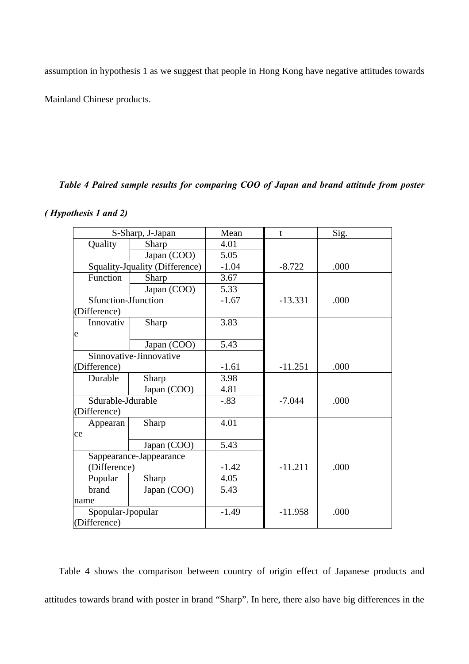assumption in hypothesis 1 as we suggest that people in Hong Kong have negative attitudes towards

Mainland Chinese products.

## *Table 4 Paired sample results for comparing COO of Japan and brand attitude from poster*

## *( Hypothesis 1 and 2)*

|                     | S-Sharp, J-Japan               | Mean    | t         | Sig. |
|---------------------|--------------------------------|---------|-----------|------|
| Quality             | Sharp                          | 4.01    |           |      |
|                     | Japan (COO)                    | 5.05    |           |      |
|                     | Squality-Jquality (Difference) | $-1.04$ | $-8.722$  | .000 |
| Function            | Sharp                          | 3.67    |           |      |
|                     | Japan (COO)                    | 5.33    |           |      |
| Sfunction-Jfunction |                                | $-1.67$ | $-13.331$ | .000 |
| (Difference)        |                                |         |           |      |
| Innovativ           | Sharp                          | 3.83    |           |      |
| e                   |                                |         |           |      |
|                     | Japan (COO)                    | 5.43    |           |      |
|                     | Sinnovative-Jinnovative        |         |           |      |
| (Difference)        |                                | $-1.61$ | $-11.251$ | .000 |
| Durable             | Sharp                          | 3.98    |           |      |
|                     | Japan (COO)                    | 4.81    |           |      |
| Sdurable-Jdurable   |                                | $-.83$  | $-7.044$  | .000 |
| (Difference)        |                                |         |           |      |
| Appearan            | Sharp                          | 4.01    |           |      |
| ce                  |                                |         |           |      |
|                     | Japan (COO)                    | 5.43    |           |      |
|                     | Sappearance-Jappearance        |         |           |      |
| (Difference)        |                                | $-1.42$ | $-11.211$ | .000 |
| Popular             | Sharp                          | 4.05    |           |      |
| brand               | Japan (COO)                    | 5.43    |           |      |
| name                |                                |         |           |      |
| Spopular-Jpopular   |                                | $-1.49$ | $-11.958$ | .000 |
| (Difference)        |                                |         |           |      |

Table 4 shows the comparison between country of origin effect of Japanese products and attitudes towards brand with poster in brand "Sharp". In here, there also have big differences in the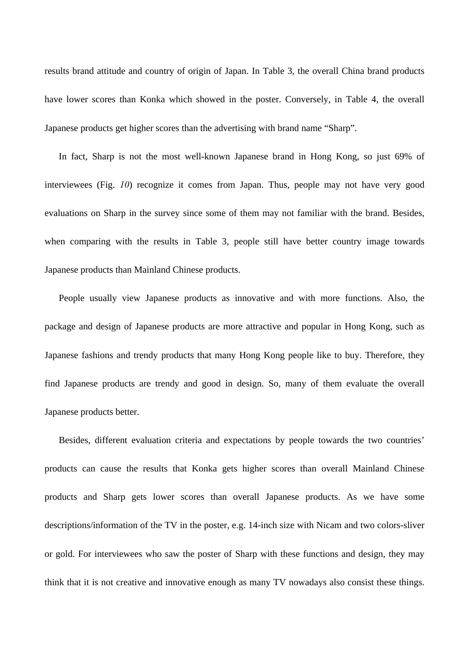results brand attitude and country of origin of Japan. In Table 3, the overall China brand products have lower scores than Konka which showed in the poster. Conversely, in Table 4, the overall Japanese products get higher scores than the advertising with brand name "Sharp".

In fact, Sharp is not the most well-known Japanese brand in Hong Kong, so just 69% of interviewees (Fig. *10*) recognize it comes from Japan. Thus, people may not have very good evaluations on Sharp in the survey since some of them may not familiar with the brand. Besides, when comparing with the results in Table 3, people still have better country image towards Japanese products than Mainland Chinese products.

People usually view Japanese products as innovative and with more functions. Also, the package and design of Japanese products are more attractive and popular in Hong Kong, such as Japanese fashions and trendy products that many Hong Kong people like to buy. Therefore, they find Japanese products are trendy and good in design. So, many of them evaluate the overall Japanese products better.

Besides, different evaluation criteria and expectations by people towards the two countries' products can cause the results that Konka gets higher scores than overall Mainland Chinese products and Sharp gets lower scores than overall Japanese products. As we have some descriptions/information of the TV in the poster, e.g. 14-inch size with Nicam and two colors-sliver or gold. For interviewees who saw the poster of Sharp with these functions and design, they may think that it is not creative and innovative enough as many TV nowadays also consist these things.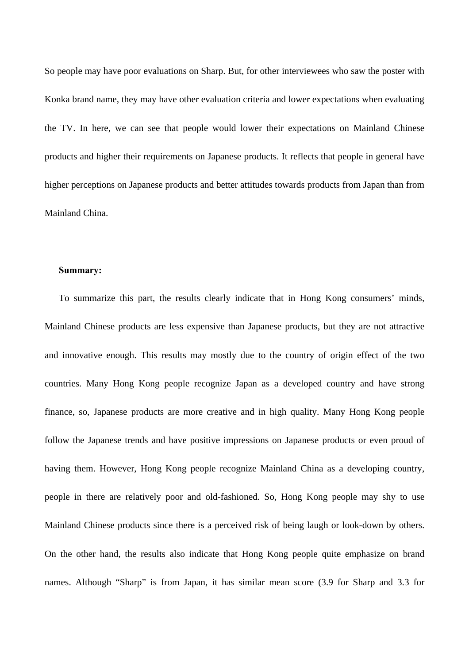So people may have poor evaluations on Sharp. But, for other interviewees who saw the poster with Konka brand name, they may have other evaluation criteria and lower expectations when evaluating the TV. In here, we can see that people would lower their expectations on Mainland Chinese products and higher their requirements on Japanese products. It reflects that people in general have higher perceptions on Japanese products and better attitudes towards products from Japan than from Mainland China.

#### **Summary:**

To summarize this part, the results clearly indicate that in Hong Kong consumers' minds, Mainland Chinese products are less expensive than Japanese products, but they are not attractive and innovative enough. This results may mostly due to the country of origin effect of the two countries. Many Hong Kong people recognize Japan as a developed country and have strong finance, so, Japanese products are more creative and in high quality. Many Hong Kong people follow the Japanese trends and have positive impressions on Japanese products or even proud of having them. However, Hong Kong people recognize Mainland China as a developing country, people in there are relatively poor and old-fashioned. So, Hong Kong people may shy to use Mainland Chinese products since there is a perceived risk of being laugh or look-down by others. On the other hand, the results also indicate that Hong Kong people quite emphasize on brand names. Although "Sharp" is from Japan, it has similar mean score (3.9 for Sharp and 3.3 for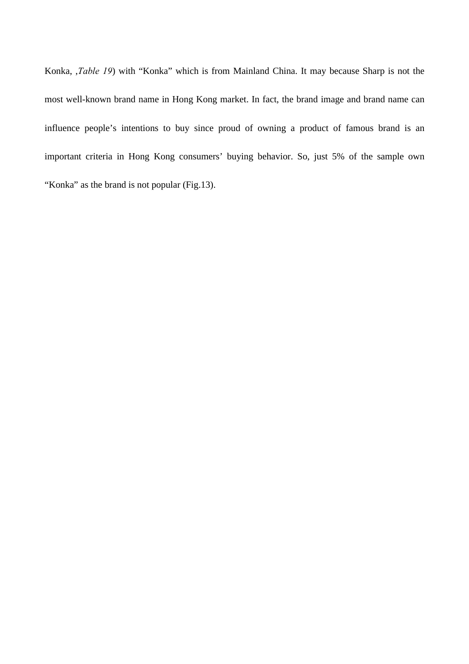Konka, ,*Table 19*) with "Konka" which is from Mainland China. It may because Sharp is not the most well-known brand name in Hong Kong market. In fact, the brand image and brand name can influence people's intentions to buy since proud of owning a product of famous brand is an important criteria in Hong Kong consumers' buying behavior. So, just 5% of the sample own "Konka" as the brand is not popular (Fig.13).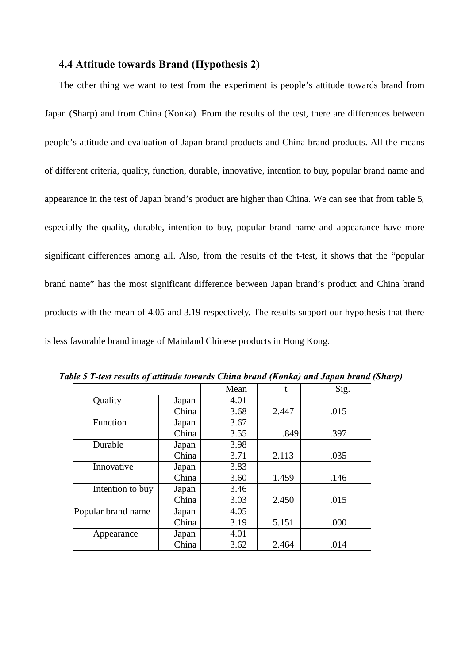### **4.4 Attitude towards Brand (Hypothesis 2)**

The other thing we want to test from the experiment is people's attitude towards brand from Japan (Sharp) and from China (Konka). From the results of the test, there are differences between people's attitude and evaluation of Japan brand products and China brand products. All the means of different criteria, quality, function, durable, innovative, intention to buy, popular brand name and appearance in the test of Japan brand's product are higher than China. We can see that from table 5*,* especially the quality, durable, intention to buy, popular brand name and appearance have more significant differences among all. Also, from the results of the t-test, it shows that the "popular brand name" has the most significant difference between Japan brand's product and China brand products with the mean of 4.05 and 3.19 respectively. The results support our hypothesis that there is less favorable brand image of Mainland Chinese products in Hong Kong.

|                    |       | Mean | $\mathbf{t}$ | Sig. |
|--------------------|-------|------|--------------|------|
| Quality            | Japan | 4.01 |              |      |
|                    | China | 3.68 | 2.447        | .015 |
| Function           | Japan | 3.67 |              |      |
|                    | China | 3.55 | .849         | .397 |
| Durable            | Japan | 3.98 |              |      |
|                    | China | 3.71 | 2.113        | .035 |
| Innovative         | Japan | 3.83 |              |      |
|                    | China | 3.60 | 1.459        | .146 |
| Intention to buy   | Japan | 3.46 |              |      |
|                    | China | 3.03 | 2.450        | .015 |
| Popular brand name | Japan | 4.05 |              |      |
|                    | China | 3.19 | 5.151        | .000 |
| Appearance         | Japan | 4.01 |              |      |
|                    | China | 3.62 | 2.464        | .014 |

*Table 5 T-test results of attitude towards China brand (Konka) and Japan brand (Sharp)*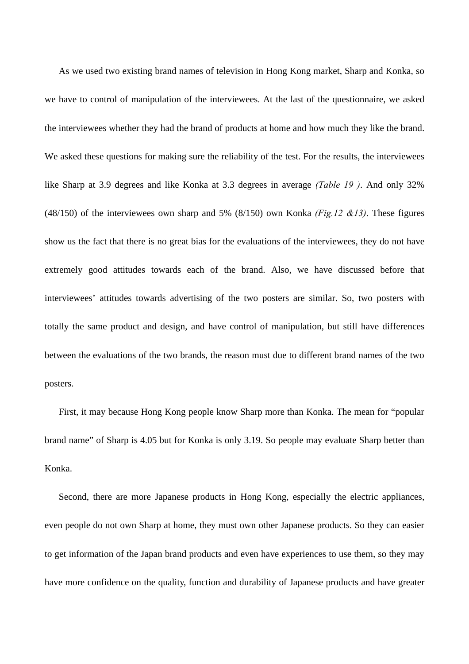As we used two existing brand names of television in Hong Kong market, Sharp and Konka, so we have to control of manipulation of the interviewees. At the last of the questionnaire, we asked the interviewees whether they had the brand of products at home and how much they like the brand. We asked these questions for making sure the reliability of the test. For the results, the interviewees like Sharp at 3.9 degrees and like Konka at 3.3 degrees in average *(Table 19 )*. And only 32% (48/150) of the interviewees own sharp and 5% (8/150) own Konka *(Fig.12 &13)*. These figures show us the fact that there is no great bias for the evaluations of the interviewees, they do not have extremely good attitudes towards each of the brand. Also, we have discussed before that interviewees' attitudes towards advertising of the two posters are similar. So, two posters with totally the same product and design, and have control of manipulation, but still have differences between the evaluations of the two brands, the reason must due to different brand names of the two posters.

First, it may because Hong Kong people know Sharp more than Konka. The mean for "popular brand name" of Sharp is 4.05 but for Konka is only 3.19. So people may evaluate Sharp better than Konka.

Second, there are more Japanese products in Hong Kong, especially the electric appliances, even people do not own Sharp at home, they must own other Japanese products. So they can easier to get information of the Japan brand products and even have experiences to use them, so they may have more confidence on the quality, function and durability of Japanese products and have greater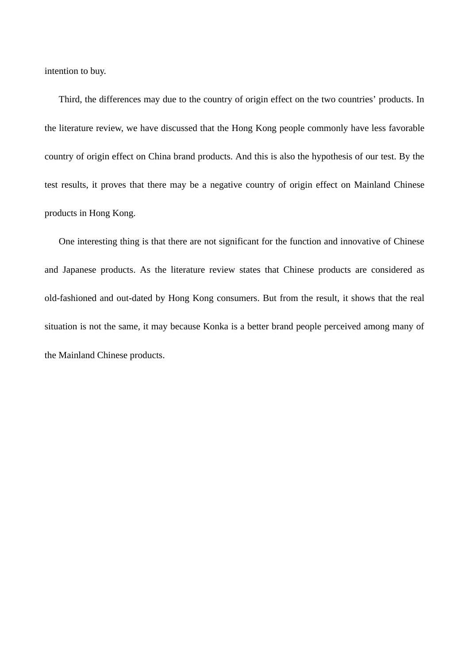intention to buy.

Third, the differences may due to the country of origin effect on the two countries' products. In the literature review, we have discussed that the Hong Kong people commonly have less favorable country of origin effect on China brand products. And this is also the hypothesis of our test. By the test results, it proves that there may be a negative country of origin effect on Mainland Chinese products in Hong Kong.

One interesting thing is that there are not significant for the function and innovative of Chinese and Japanese products. As the literature review states that Chinese products are considered as old-fashioned and out-dated by Hong Kong consumers. But from the result, it shows that the real situation is not the same, it may because Konka is a better brand people perceived among many of the Mainland Chinese products.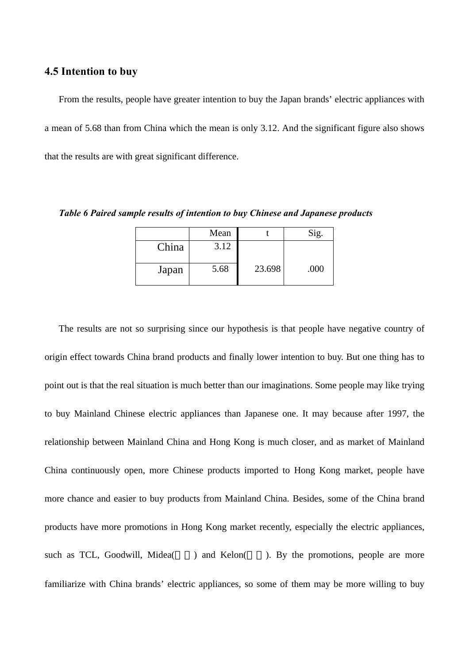### **4.5 Intention to buy**

From the results, people have greater intention to buy the Japan brands' electric appliances with a mean of 5.68 than from China which the mean is only 3.12. And the significant figure also shows that the results are with great significant difference.

*Table 6 Paired sample results of intention to buy Chinese and Japanese products*

|       | Mean |        | Sig. |
|-------|------|--------|------|
| China | 3.12 |        |      |
| Japan | 5.68 | 23.698 | .000 |

The results are not so surprising since our hypothesis is that people have negative country of origin effect towards China brand products and finally lower intention to buy. But one thing has to point out is that the real situation is much better than our imaginations. Some people may like trying to buy Mainland Chinese electric appliances than Japanese one. It may because after 1997, the relationship between Mainland China and Hong Kong is much closer, and as market of Mainland China continuously open, more Chinese products imported to Hong Kong market, people have more chance and easier to buy products from Mainland China. Besides, some of the China brand products have more promotions in Hong Kong market recently, especially the electric appliances, such as TCL, Goodwill, Midea() and Kelon(). By the promotions, people are more familiarize with China brands' electric appliances, so some of them may be more willing to buy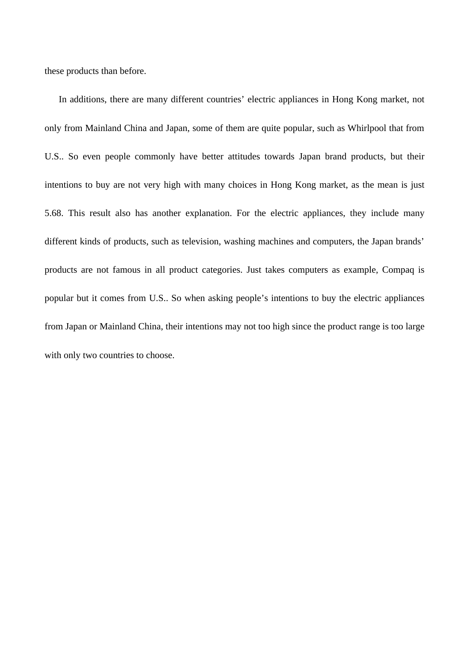these products than before.

In additions, there are many different countries' electric appliances in Hong Kong market, not only from Mainland China and Japan, some of them are quite popular, such as Whirlpool that from U.S.. So even people commonly have better attitudes towards Japan brand products, but their intentions to buy are not very high with many choices in Hong Kong market, as the mean is just 5.68. This result also has another explanation. For the electric appliances, they include many different kinds of products, such as television, washing machines and computers, the Japan brands' products are not famous in all product categories. Just takes computers as example, Compaq is popular but it comes from U.S.. So when asking people's intentions to buy the electric appliances from Japan or Mainland China, their intentions may not too high since the product range is too large with only two countries to choose.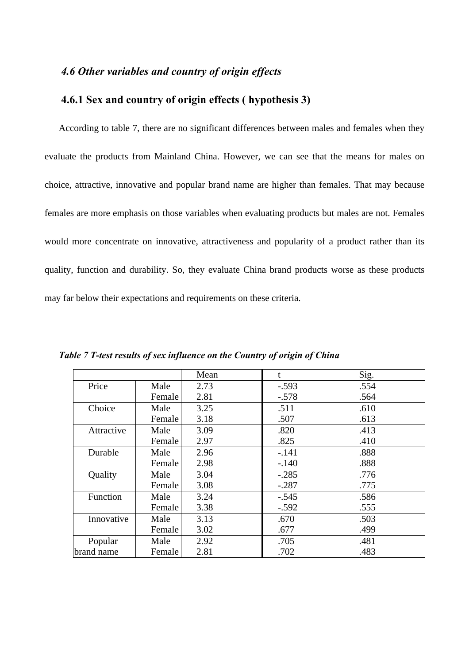## *4.6 Other variables and country of origin effects*

## **4.6.1 Sex and country of origin effects ( hypothesis 3)**

According to table 7, there are no significant differences between males and females when they evaluate the products from Mainland China. However, we can see that the means for males on choice, attractive, innovative and popular brand name are higher than females. That may because females are more emphasis on those variables when evaluating products but males are not. Females would more concentrate on innovative, attractiveness and popularity of a product rather than its quality, function and durability. So, they evaluate China brand products worse as these products may far below their expectations and requirements on these criteria.

|            |        | Mean | t       | Sig. |
|------------|--------|------|---------|------|
| Price      | Male   | 2.73 | $-.593$ | .554 |
|            | Female | 2.81 | $-.578$ | .564 |
| Choice     | Male   | 3.25 | .511    | .610 |
|            | Female | 3.18 | .507    | .613 |
| Attractive | Male   | 3.09 | .820    | .413 |
|            | Female | 2.97 | .825    | .410 |
| Durable    | Male   | 2.96 | $-.141$ | .888 |
|            | Female | 2.98 | $-.140$ | .888 |
| Quality    | Male   | 3.04 | $-.285$ | .776 |
|            | Female | 3.08 | $-.287$ | .775 |
| Function   | Male   | 3.24 | $-.545$ | .586 |
|            | Female | 3.38 | $-.592$ | .555 |
| Innovative | Male   | 3.13 | .670    | .503 |
|            | Female | 3.02 | .677    | .499 |
| Popular    | Male   | 2.92 | .705    | .481 |
| brand name | Female | 2.81 | .702    | .483 |

*Table 7 T-test results of sex influence on the Country of origin of China*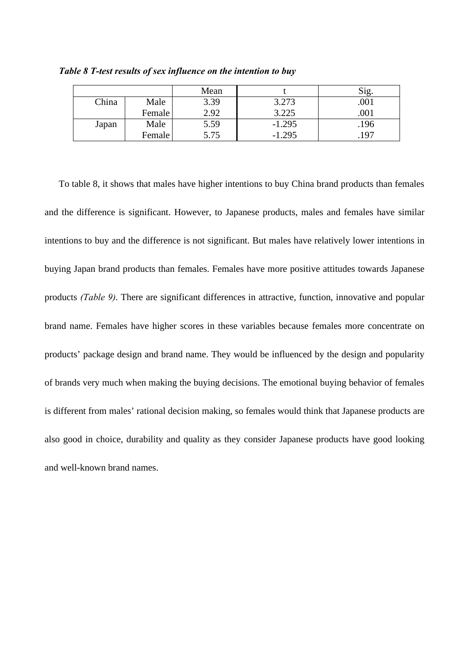|       |        | Mean |          | Sig  |
|-------|--------|------|----------|------|
| China | Male   | 3.39 | 3.273    | .001 |
|       | Female | 2.92 | 3.225    | .001 |
| Japan | Male   | 5.59 | $-1.295$ | .196 |
|       | Female | 5.75 | $-1.295$ | .197 |

*Table 8 T-test results of sex influence on the intention to buy*

To table 8, it shows that males have higher intentions to buy China brand products than females and the difference is significant. However, to Japanese products, males and females have similar intentions to buy and the difference is not significant. But males have relatively lower intentions in buying Japan brand products than females. Females have more positive attitudes towards Japanese products *(Table 9)*. There are significant differences in attractive, function, innovative and popular brand name. Females have higher scores in these variables because females more concentrate on products' package design and brand name. They would be influenced by the design and popularity of brands very much when making the buying decisions. The emotional buying behavior of females is different from males' rational decision making, so females would think that Japanese products are also good in choice, durability and quality as they consider Japanese products have good looking and well-known brand names.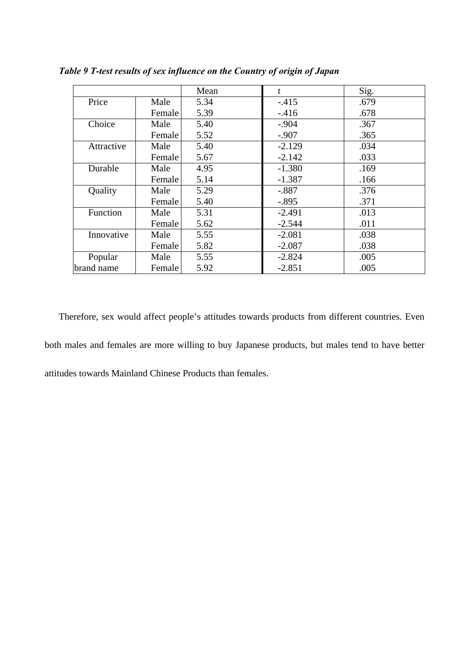|            |        | Mean | t        | Sig. |
|------------|--------|------|----------|------|
| Price      | Male   | 5.34 | $-.415$  | .679 |
|            | Female | 5.39 | $-416$   | .678 |
| Choice     | Male   | 5.40 | $-.904$  | .367 |
|            | Female | 5.52 | $-.907$  | .365 |
| Attractive | Male   | 5.40 | $-2.129$ | .034 |
|            | Female | 5.67 | $-2.142$ | .033 |
| Durable    | Male   | 4.95 | $-1.380$ | .169 |
|            | Female | 5.14 | $-1.387$ | .166 |
| Quality    | Male   | 5.29 | $-.887$  | .376 |
|            | Female | 5.40 | $-.895$  | .371 |
| Function   | Male   | 5.31 | $-2.491$ | .013 |
|            | Female | 5.62 | $-2.544$ | .011 |
| Innovative | Male   | 5.55 | $-2.081$ | .038 |
|            | Female | 5.82 | $-2.087$ | .038 |
| Popular    | Male   | 5.55 | $-2.824$ | .005 |
| brand name | Female | 5.92 | $-2.851$ | .005 |

*Table 9 T-test results of sex influence on the Country of origin of Japan*

Therefore, sex would affect people's attitudes towards products from different countries. Even both males and females are more willing to buy Japanese products, but males tend to have better attitudes towards Mainland Chinese Products than females.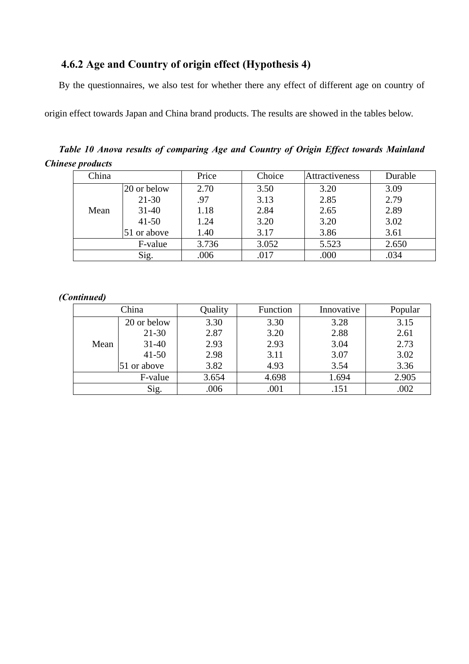## **4.6.2 Age and Country of origin effect (Hypothesis 4)**

By the questionnaires, we also test for whether there any effect of different age on country of

origin effect towards Japan and China brand products. The results are showed in the tables below.

*Table 10 Anova results of comparing Age and Country of Origin Effect towards Mainland Chinese products*

| China |             | Price | Choice | Attractiveness | Durable |
|-------|-------------|-------|--------|----------------|---------|
|       | 20 or below | 2.70  | 3.50   | 3.20           | 3.09    |
|       | $21 - 30$   | .97   | 3.13   | 2.85           | 2.79    |
| Mean  | $31 - 40$   | 1.18  | 2.84   | 2.65           | 2.89    |
|       | $41 - 50$   | 1.24  | 3.20   | 3.20           | 3.02    |
|       | 51 or above | 1.40  | 3.17   | 3.86           | 3.61    |
|       | F-value     | 3.736 | 3.052  | 5.523          | 2.650   |
|       | Sig.        | .006  | .017   | .000           | .034    |

## *(Continued)*

|      | China       | Quality | Function | Innovative | Popular |
|------|-------------|---------|----------|------------|---------|
|      | 20 or below | 3.30    | 3.30     | 3.28       | 3.15    |
|      | $21 - 30$   | 2.87    | 3.20     | 2.88       | 2.61    |
| Mean | $31 - 40$   | 2.93    | 2.93     | 3.04       | 2.73    |
|      | $41 - 50$   | 2.98    | 3.11     | 3.07       | 3.02    |
|      | 51 or above | 3.82    | 4.93     | 3.54       | 3.36    |
|      | F-value     | 3.654   | 4.698    | 1.694      | 2.905   |
|      | Sig.        | .006    | .001     | .151       | .002    |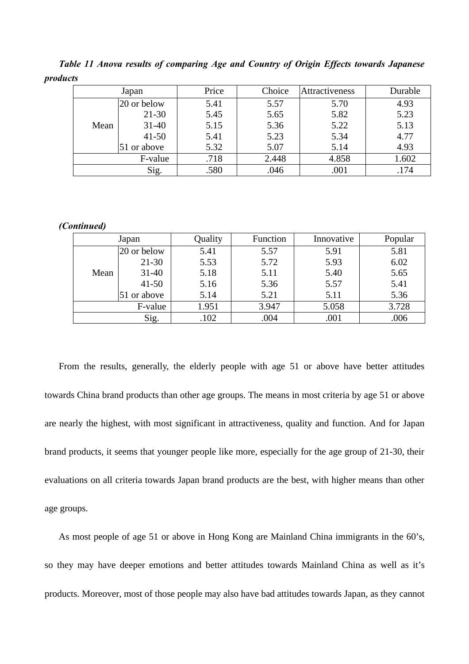*Table 11 Anova results of comparing Age and Country of Origin Effects towards Japanese products*

|      | Japan       | Price | Choice | Attractiveness | Durable |
|------|-------------|-------|--------|----------------|---------|
|      | 20 or below | 5.41  | 5.57   | 5.70           | 4.93    |
|      | $21 - 30$   | 5.45  | 5.65   | 5.82           | 5.23    |
| Mean | $31 - 40$   | 5.15  | 5.36   | 5.22           | 5.13    |
|      | $41 - 50$   | 5.41  | 5.23   | 5.34           | 4.77    |
|      | 51 or above | 5.32  | 5.07   | 5.14           | 4.93    |
|      | F-value     | .718  | 2.448  | 4.858          | 1.602   |
|      | Sig.        | .580  | .046   | .001           | .174    |

#### *(Continued)*

|      | Japan       | Quality | Function | Innovative | Popular |
|------|-------------|---------|----------|------------|---------|
|      | 20 or below | 5.41    | 5.57     | 5.91       | 5.81    |
|      | $21 - 30$   | 5.53    | 5.72     | 5.93       | 6.02    |
| Mean | $31 - 40$   | 5.18    | 5.11     | 5.40       | 5.65    |
|      | $41 - 50$   | 5.16    | 5.36     | 5.57       | 5.41    |
|      | 51 or above | 5.14    | 5.21     | 5.11       | 5.36    |
|      | F-value     | 1.951   | 3.947    | 5.058      | 3.728   |
|      | Sig.        | .102    | .004     | .001       | .006    |

From the results, generally, the elderly people with age 51 or above have better attitudes towards China brand products than other age groups. The means in most criteria by age 51 or above are nearly the highest, with most significant in attractiveness, quality and function. And for Japan brand products, it seems that younger people like more, especially for the age group of 21-30, their evaluations on all criteria towards Japan brand products are the best, with higher means than other age groups.

As most people of age 51 or above in Hong Kong are Mainland China immigrants in the 60's, so they may have deeper emotions and better attitudes towards Mainland China as well as it's products. Moreover, most of those people may also have bad attitudes towards Japan, as they cannot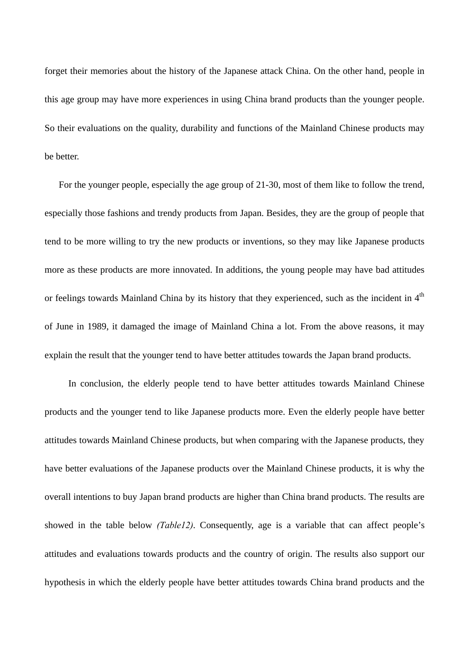forget their memories about the history of the Japanese attack China. On the other hand, people in this age group may have more experiences in using China brand products than the younger people. So their evaluations on the quality, durability and functions of the Mainland Chinese products may be better.

For the younger people, especially the age group of 21-30, most of them like to follow the trend, especially those fashions and trendy products from Japan. Besides, they are the group of people that tend to be more willing to try the new products or inventions, so they may like Japanese products more as these products are more innovated. In additions, the young people may have bad attitudes or feelings towards Mainland China by its history that they experienced, such as the incident in 4<sup>th</sup> of June in 1989, it damaged the image of Mainland China a lot. From the above reasons, it may explain the result that the younger tend to have better attitudes towards the Japan brand products.

 In conclusion, the elderly people tend to have better attitudes towards Mainland Chinese products and the younger tend to like Japanese products more. Even the elderly people have better attitudes towards Mainland Chinese products, but when comparing with the Japanese products, they have better evaluations of the Japanese products over the Mainland Chinese products, it is why the overall intentions to buy Japan brand products are higher than China brand products. The results are showed in the table below *(Table12)*. Consequently, age is a variable that can affect people's attitudes and evaluations towards products and the country of origin. The results also support our hypothesis in which the elderly people have better attitudes towards China brand products and the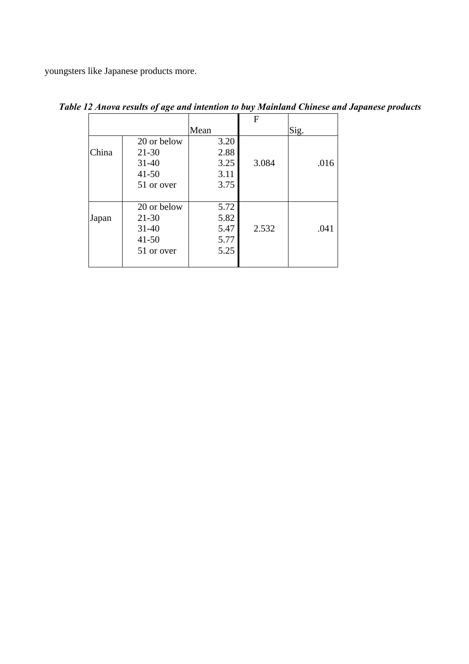youngsters like Japanese products more.

|       |             |      | F     |      |
|-------|-------------|------|-------|------|
|       |             | Mean |       | Sig. |
|       | 20 or below | 3.20 |       |      |
| China | $21 - 30$   | 2.88 |       |      |
|       | $31 - 40$   | 3.25 | 3.084 | .016 |
|       | $41 - 50$   | 3.11 |       |      |
|       | 51 or over  | 3.75 |       |      |
|       |             |      |       |      |
|       | 20 or below | 5.72 |       |      |
| Japan | $21 - 30$   | 5.82 |       |      |
|       | $31 - 40$   | 5.47 | 2.532 | .041 |
|       | $41 - 50$   | 5.77 |       |      |
|       | 51 or over  | 5.25 |       |      |
|       |             |      |       |      |

*Table 12 Anova results of age and intention to buy Mainland Chinese and Japanese products*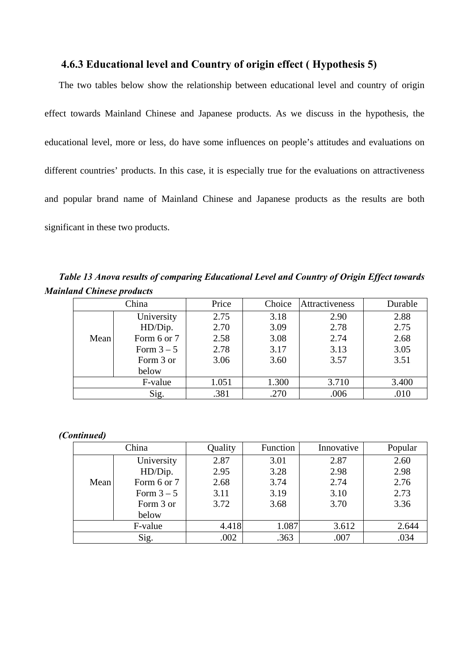## **4.6.3 Educational level and Country of origin effect ( Hypothesis 5)**

The two tables below show the relationship between educational level and country of origin effect towards Mainland Chinese and Japanese products. As we discuss in the hypothesis, the educational level, more or less, do have some influences on people's attitudes and evaluations on different countries' products. In this case, it is especially true for the evaluations on attractiveness and popular brand name of Mainland Chinese and Japanese products as the results are both significant in these two products.

*Table 13 Anova results of comparing Educational Level and Country of Origin Effect towards Mainland Chinese products*

|      | China       | Price | Choice | <b>Attractiveness</b> | Durable |
|------|-------------|-------|--------|-----------------------|---------|
|      | University  | 2.75  | 3.18   | 2.90                  | 2.88    |
|      | HD/Dip.     | 2.70  | 3.09   | 2.78                  | 2.75    |
| Mean | Form 6 or 7 | 2.58  | 3.08   | 2.74                  | 2.68    |
|      | Form $3-5$  | 2.78  | 3.17   | 3.13                  | 3.05    |
|      | Form 3 or   | 3.06  | 3.60   | 3.57                  | 3.51    |
|      | below       |       |        |                       |         |
|      | F-value     | 1.051 | 1.300  | 3.710                 | 3.400   |
|      | Sig.        | .381  | .270   | .006                  | .010    |

### *(Continued)*

|      | China       | Quality | Function | Innovative | Popular |
|------|-------------|---------|----------|------------|---------|
|      | University  | 2.87    | 3.01     | 2.87       | 2.60    |
|      | HD/Dip.     | 2.95    | 3.28     | 2.98       | 2.98    |
| Mean | Form 6 or 7 | 2.68    | 3.74     | 2.74       | 2.76    |
|      | Form $3-5$  | 3.11    | 3.19     | 3.10       | 2.73    |
|      | Form 3 or   | 3.72    | 3.68     | 3.70       | 3.36    |
|      | below       |         |          |            |         |
|      | F-value     | 4.418   | 1.087    | 3.612      | 2.644   |
|      | Sig.        |         | .363     | .007       | .034    |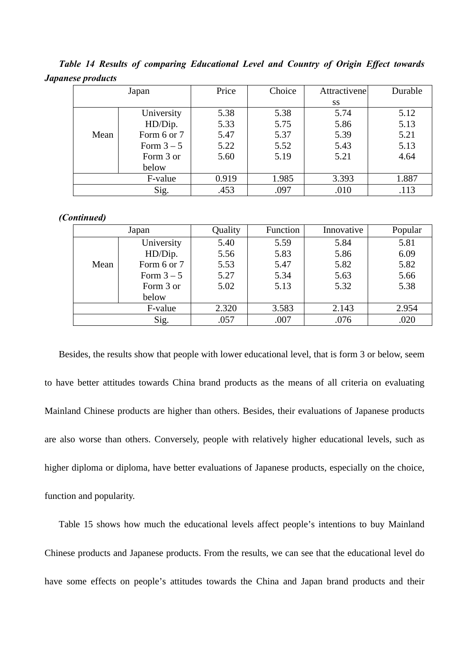*Table 14 Results of comparing Educational Level and Country of Origin Effect towards Japanese products*

|      | Japan       |       | Choice | Attractivene | Durable |
|------|-------------|-------|--------|--------------|---------|
|      |             |       |        | <b>SS</b>    |         |
|      | University  | 5.38  | 5.38   | 5.74         | 5.12    |
|      | HD/Dip.     | 5.33  | 5.75   | 5.86         | 5.13    |
| Mean | Form 6 or 7 | 5.47  | 5.37   | 5.39         | 5.21    |
|      | Form $3-5$  | 5.22  | 5.52   | 5.43         | 5.13    |
|      | Form 3 or   | 5.60  | 5.19   | 5.21         | 4.64    |
|      | below       |       |        |              |         |
|      | F-value     | 0.919 | 1.985  | 3.393        | 1.887   |
|      | Sig.        | .453  | .097   | .010         | .113    |

#### *(Continued)*

|      | Japan       | Quality | Function | Innovative | Popular |
|------|-------------|---------|----------|------------|---------|
|      | University  | 5.40    | 5.59     | 5.84       | 5.81    |
|      | HD/Dip.     | 5.56    | 5.83     | 5.86       | 6.09    |
| Mean | Form 6 or 7 | 5.53    | 5.47     | 5.82       | 5.82    |
|      | Form $3-5$  | 5.27    | 5.34     | 5.63       | 5.66    |
|      | Form 3 or   | 5.02    | 5.13     | 5.32       | 5.38    |
|      | below       |         |          |            |         |
|      | F-value     | 2.320   | 3.583    | 2.143      | 2.954   |
|      | Sig.        | .057    | .007     | .076       | .020    |

Besides, the results show that people with lower educational level, that is form 3 or below, seem to have better attitudes towards China brand products as the means of all criteria on evaluating Mainland Chinese products are higher than others. Besides, their evaluations of Japanese products are also worse than others. Conversely, people with relatively higher educational levels, such as higher diploma or diploma, have better evaluations of Japanese products, especially on the choice, function and popularity.

Table 15 shows how much the educational levels affect people's intentions to buy Mainland Chinese products and Japanese products. From the results, we can see that the educational level do have some effects on people's attitudes towards the China and Japan brand products and their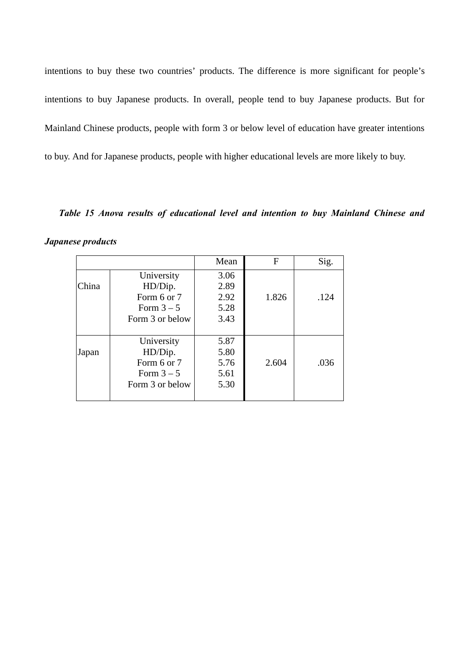intentions to buy these two countries' products. The difference is more significant for people's intentions to buy Japanese products. In overall, people tend to buy Japanese products. But for Mainland Chinese products, people with form 3 or below level of education have greater intentions to buy. And for Japanese products, people with higher educational levels are more likely to buy.

*Table 15 Anova results of educational level and intention to buy Mainland Chinese and*

| <b>Japanese products</b> |  |
|--------------------------|--|
|--------------------------|--|

|       |                 | Mean | F     | Sig. |
|-------|-----------------|------|-------|------|
|       | University      | 3.06 |       |      |
| China | HD/Dip.         | 2.89 |       |      |
|       | Form 6 or 7     | 2.92 | 1.826 | .124 |
|       | Form $3-5$      | 5.28 |       |      |
|       | Form 3 or below | 3.43 |       |      |
|       |                 |      |       |      |
|       | University      | 5.87 |       |      |
| Japan | HD/Dip.         | 5.80 |       |      |
|       | Form 6 or 7     | 5.76 | 2.604 | .036 |
|       | Form $3-5$      | 5.61 |       |      |
|       | Form 3 or below | 5.30 |       |      |
|       |                 |      |       |      |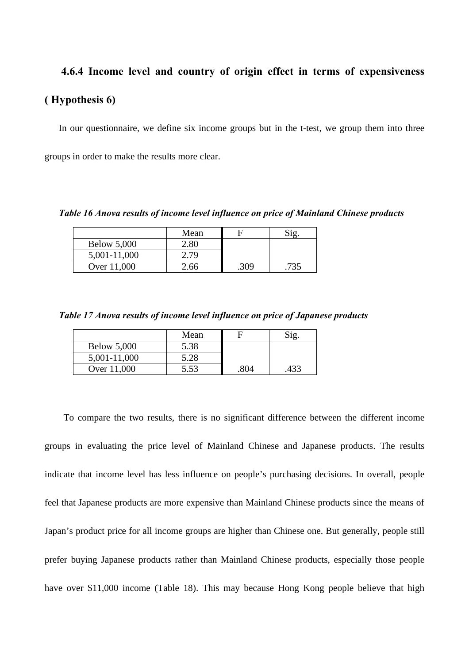## **4.6.4 Income level and country of origin effect in terms of expensiveness ( Hypothesis 6)**

In our questionnaire, we define six income groups but in the t-test, we group them into three groups in order to make the results more clear.

*Table 16 Anova results of income level influence on price of Mainland Chinese products*

|                    | Mean |      |  |
|--------------------|------|------|--|
| <b>Below 5,000</b> | 2.80 |      |  |
| 5,001-11,000       |      |      |  |
| Over 11,000        | 66   | .309 |  |

*Table 17 Anova results of income level influence on price of Japanese products*

|                    | Mean |      |      |
|--------------------|------|------|------|
| <b>Below 5,000</b> | 5.38 |      |      |
| 5,001-11,000       | 5.28 |      |      |
| Over 11,000        | 5.53 | .804 | .433 |

To compare the two results, there is no significant difference between the different income groups in evaluating the price level of Mainland Chinese and Japanese products. The results indicate that income level has less influence on people's purchasing decisions. In overall, people feel that Japanese products are more expensive than Mainland Chinese products since the means of Japan's product price for all income groups are higher than Chinese one. But generally, people still prefer buying Japanese products rather than Mainland Chinese products, especially those people have over \$11,000 income (Table 18). This may because Hong Kong people believe that high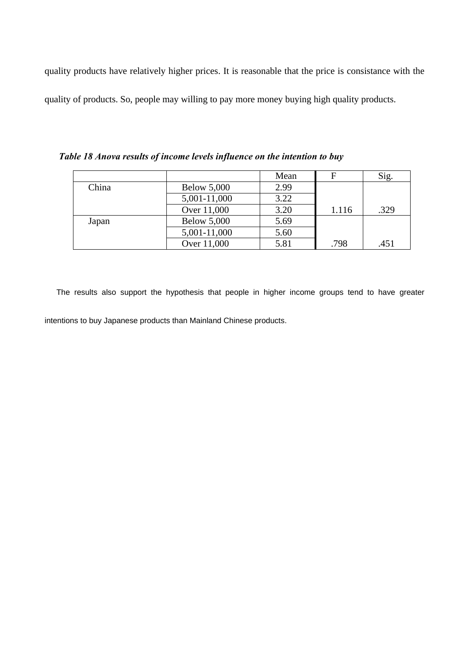quality products have relatively higher prices. It is reasonable that the price is consistance with the quality of products. So, people may willing to pay more money buying high quality products.

|       |                    | Mean | F     | Sig. |
|-------|--------------------|------|-------|------|
| China | <b>Below 5,000</b> | 2.99 |       |      |
|       | 5,001-11,000       | 3.22 |       |      |
|       | Over 11,000        | 3.20 | 1.116 | .329 |
| Japan | <b>Below 5,000</b> | 5.69 |       |      |
|       | 5,001-11,000       | 5.60 |       |      |
|       | Over 11,000        | 5.81 | .798  | .451 |

*Table 18 Anova results of income levels influence on the intention to buy*

The results also support the hypothesis that people in higher income groups tend to have greater intentions to buy Japanese products than Mainland Chinese products.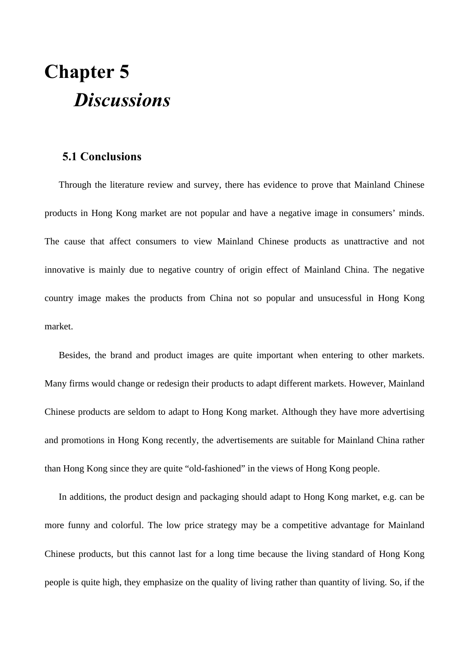# **Chapter 5** *Discussions*

## **5.1 Conclusions**

Through the literature review and survey, there has evidence to prove that Mainland Chinese products in Hong Kong market are not popular and have a negative image in consumers' minds. The cause that affect consumers to view Mainland Chinese products as unattractive and not innovative is mainly due to negative country of origin effect of Mainland China. The negative country image makes the products from China not so popular and unsucessful in Hong Kong market.

Besides, the brand and product images are quite important when entering to other markets. Many firms would change or redesign their products to adapt different markets. However, Mainland Chinese products are seldom to adapt to Hong Kong market. Although they have more advertising and promotions in Hong Kong recently, the advertisements are suitable for Mainland China rather than Hong Kong since they are quite "old-fashioned" in the views of Hong Kong people.

In additions, the product design and packaging should adapt to Hong Kong market, e.g. can be more funny and colorful. The low price strategy may be a competitive advantage for Mainland Chinese products, but this cannot last for a long time because the living standard of Hong Kong people is quite high, they emphasize on the quality of living rather than quantity of living. So, if the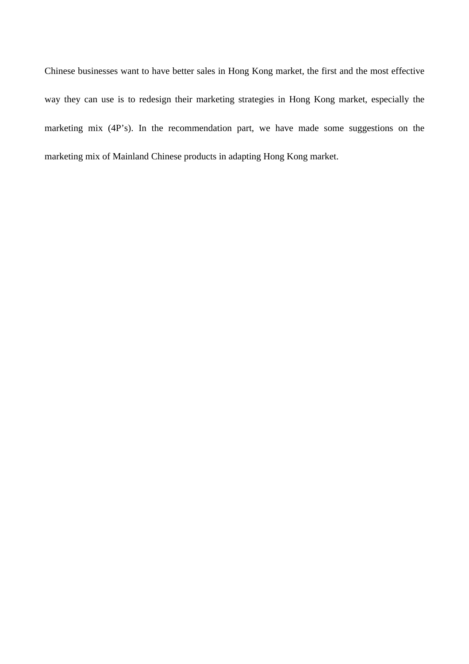Chinese businesses want to have better sales in Hong Kong market, the first and the most effective way they can use is to redesign their marketing strategies in Hong Kong market, especially the marketing mix (4P's). In the recommendation part, we have made some suggestions on the marketing mix of Mainland Chinese products in adapting Hong Kong market.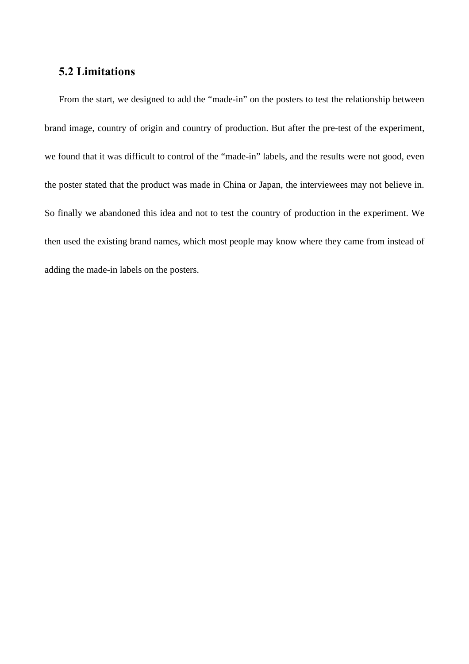## **5.2 Limitations**

From the start, we designed to add the "made-in" on the posters to test the relationship between brand image, country of origin and country of production. But after the pre-test of the experiment, we found that it was difficult to control of the "made-in" labels, and the results were not good, even the poster stated that the product was made in China or Japan, the interviewees may not believe in. So finally we abandoned this idea and not to test the country of production in the experiment. We then used the existing brand names, which most people may know where they came from instead of adding the made-in labels on the posters.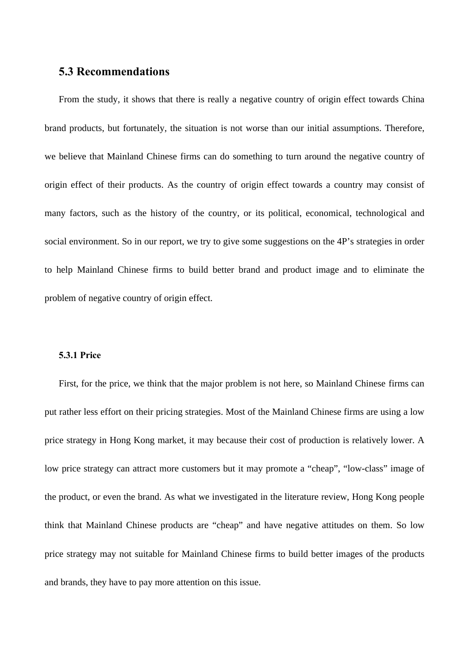## **5.3 Recommendations**

From the study, it shows that there is really a negative country of origin effect towards China brand products, but fortunately, the situation is not worse than our initial assumptions. Therefore, we believe that Mainland Chinese firms can do something to turn around the negative country of origin effect of their products. As the country of origin effect towards a country may consist of many factors, such as the history of the country, or its political, economical, technological and social environment. So in our report, we try to give some suggestions on the 4P's strategies in order to help Mainland Chinese firms to build better brand and product image and to eliminate the problem of negative country of origin effect.

### **5.3.1 Price**

First, for the price, we think that the major problem is not here, so Mainland Chinese firms can put rather less effort on their pricing strategies. Most of the Mainland Chinese firms are using a low price strategy in Hong Kong market, it may because their cost of production is relatively lower. A low price strategy can attract more customers but it may promote a "cheap", "low-class" image of the product, or even the brand. As what we investigated in the literature review, Hong Kong people think that Mainland Chinese products are "cheap" and have negative attitudes on them. So low price strategy may not suitable for Mainland Chinese firms to build better images of the products and brands, they have to pay more attention on this issue.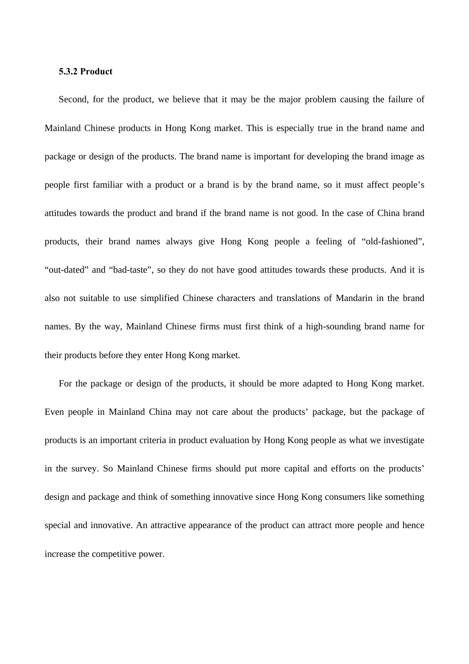#### **5.3.2 Product**

Second, for the product, we believe that it may be the major problem causing the failure of Mainland Chinese products in Hong Kong market. This is especially true in the brand name and package or design of the products. The brand name is important for developing the brand image as people first familiar with a product or a brand is by the brand name, so it must affect people's attitudes towards the product and brand if the brand name is not good. In the case of China brand products, their brand names always give Hong Kong people a feeling of "old-fashioned", "out-dated" and "bad-taste", so they do not have good attitudes towards these products. And it is also not suitable to use simplified Chinese characters and translations of Mandarin in the brand names. By the way, Mainland Chinese firms must first think of a high-sounding brand name for their products before they enter Hong Kong market.

For the package or design of the products, it should be more adapted to Hong Kong market. Even people in Mainland China may not care about the products' package, but the package of products is an important criteria in product evaluation by Hong Kong people as what we investigate in the survey. So Mainland Chinese firms should put more capital and efforts on the products' design and package and think of something innovative since Hong Kong consumers like something special and innovative. An attractive appearance of the product can attract more people and hence increase the competitive power.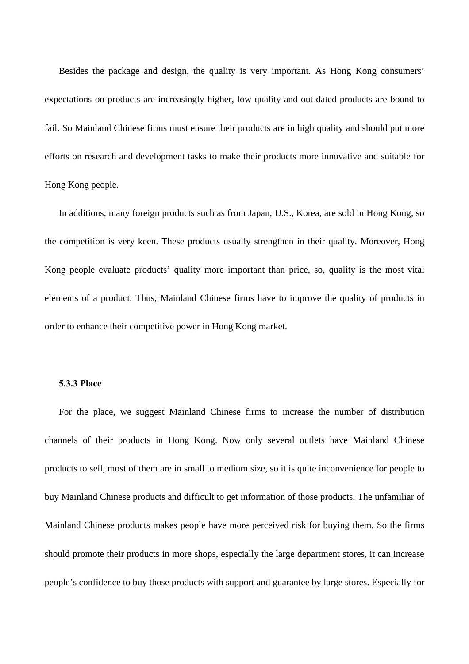Besides the package and design, the quality is very important. As Hong Kong consumers' expectations on products are increasingly higher, low quality and out-dated products are bound to fail. So Mainland Chinese firms must ensure their products are in high quality and should put more efforts on research and development tasks to make their products more innovative and suitable for Hong Kong people.

In additions, many foreign products such as from Japan, U.S., Korea, are sold in Hong Kong, so the competition is very keen. These products usually strengthen in their quality. Moreover, Hong Kong people evaluate products' quality more important than price, so, quality is the most vital elements of a product. Thus, Mainland Chinese firms have to improve the quality of products in order to enhance their competitive power in Hong Kong market.

### **5.3.3 Place**

For the place, we suggest Mainland Chinese firms to increase the number of distribution channels of their products in Hong Kong. Now only several outlets have Mainland Chinese products to sell, most of them are in small to medium size, so it is quite inconvenience for people to buy Mainland Chinese products and difficult to get information of those products. The unfamiliar of Mainland Chinese products makes people have more perceived risk for buying them. So the firms should promote their products in more shops, especially the large department stores, it can increase people's confidence to buy those products with support and guarantee by large stores. Especially for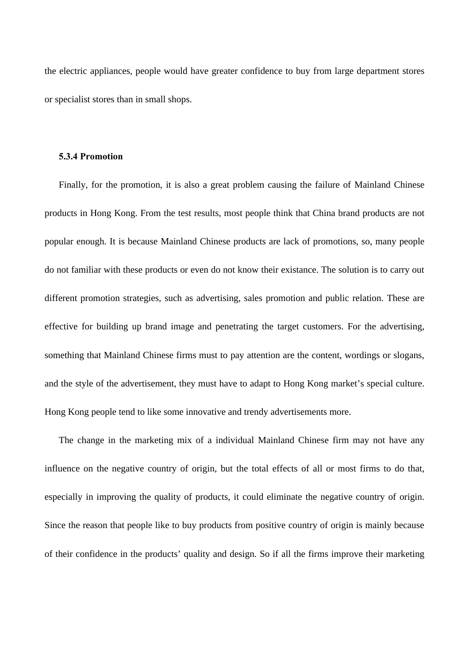the electric appliances, people would have greater confidence to buy from large department stores or specialist stores than in small shops.

### **5.3.4 Promotion**

Finally, for the promotion, it is also a great problem causing the failure of Mainland Chinese products in Hong Kong. From the test results, most people think that China brand products are not popular enough. It is because Mainland Chinese products are lack of promotions, so, many people do not familiar with these products or even do not know their existance. The solution is to carry out different promotion strategies, such as advertising, sales promotion and public relation. These are effective for building up brand image and penetrating the target customers. For the advertising, something that Mainland Chinese firms must to pay attention are the content, wordings or slogans, and the style of the advertisement, they must have to adapt to Hong Kong market's special culture. Hong Kong people tend to like some innovative and trendy advertisements more.

The change in the marketing mix of a individual Mainland Chinese firm may not have any influence on the negative country of origin, but the total effects of all or most firms to do that, especially in improving the quality of products, it could eliminate the negative country of origin. Since the reason that people like to buy products from positive country of origin is mainly because of their confidence in the products' quality and design. So if all the firms improve their marketing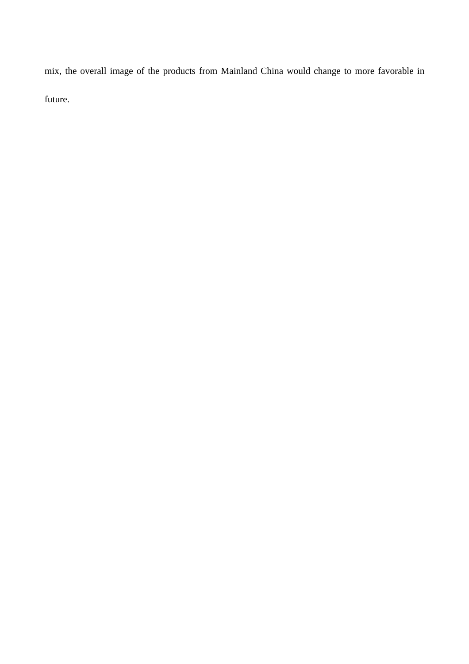mix, the overall image of the products from Mainland China would change to more favorable in future.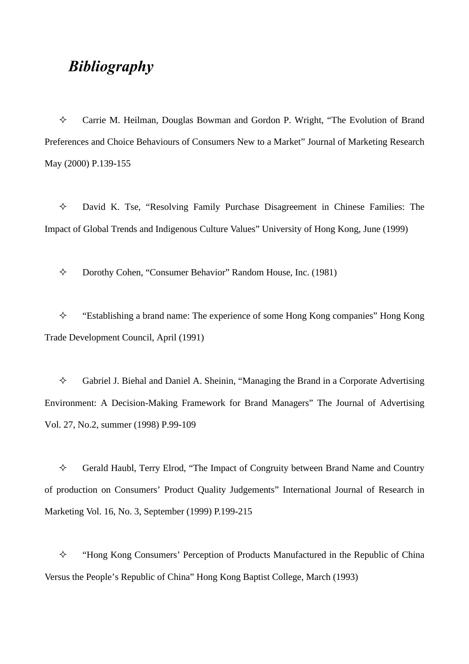## *Bibliography*

 $\Diamond$  Carrie M. Heilman, Douglas Bowman and Gordon P. Wright, "The Evolution of Brand Preferences and Choice Behaviours of Consumers New to a Market" Journal of Marketing Research May (2000) P.139-155

 $\Diamond$  David K. Tse, "Resolving Family Purchase Disagreement in Chinese Families: The Impact of Global Trends and Indigenous Culture Values" University of Hong Kong, June (1999)

 $\Diamond$  Dorothy Cohen, "Consumer Behavior" Random House, Inc. (1981)

 $\Diamond$  "Establishing a brand name: The experience of some Hong Kong companies" Hong Kong Trade Development Council, April (1991)

 $\Diamond$  Gabriel J. Biehal and Daniel A. Sheinin, "Managing the Brand in a Corporate Advertising Environment: A Decision-Making Framework for Brand Managers" The Journal of Advertising Vol. 27, No.2, summer (1998) P.99-109

 $\diamond$  Gerald Haubl, Terry Elrod, "The Impact of Congruity between Brand Name and Country of production on Consumers' Product Quality Judgements" International Journal of Research in Marketing Vol. 16, No. 3, September (1999) P.199-215

 $\Diamond$  "Hong Kong Consumers' Perception of Products Manufactured in the Republic of China Versus the People's Republic of China" Hong Kong Baptist College, March (1993)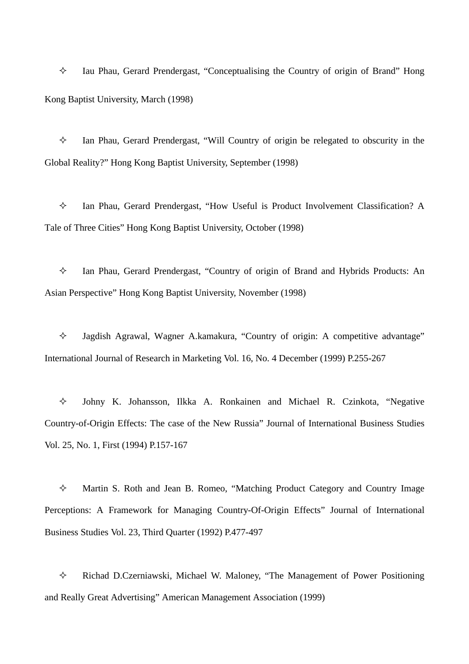$\Diamond$  Iau Phau, Gerard Prendergast, "Conceptualising the Country of origin of Brand" Hong Kong Baptist University, March (1998)

 $\Diamond$  Ian Phau, Gerard Prendergast, "Will Country of origin be relegated to obscurity in the Global Reality?" Hong Kong Baptist University, September (1998)

 $\Diamond$  Ian Phau, Gerard Prendergast, "How Useful is Product Involvement Classification? A Tale of Three Cities" Hong Kong Baptist University, October (1998)

 $\Diamond$  Ian Phau, Gerard Prendergast, "Country of origin of Brand and Hybrids Products: An Asian Perspective" Hong Kong Baptist University, November (1998)

² Jagdish Agrawal, Wagner A.kamakura, "Country of origin: A competitive advantage" International Journal of Research in Marketing Vol. 16, No. 4 December (1999) P.255-267

 $\Diamond$  Johny K. Johansson, Ilkka A. Ronkainen and Michael R. Czinkota, "Negative Country-of-Origin Effects: The case of the New Russia" Journal of International Business Studies Vol. 25, No. 1, First (1994) P.157-167

 $\Diamond$  Martin S. Roth and Jean B. Romeo, "Matching Product Category and Country Image Perceptions: A Framework for Managing Country-Of-Origin Effects" Journal of International Business Studies Vol. 23, Third Quarter (1992) P.477-497

 $\Diamond$  Richad D.Czerniawski, Michael W. Maloney, "The Management of Power Positioning and Really Great Advertising" American Management Association (1999)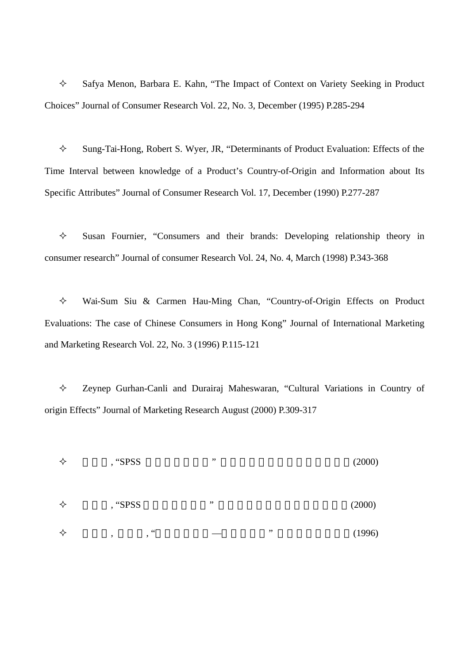$\Diamond$  Safya Menon, Barbara E. Kahn, "The Impact of Context on Variety Seeking in Product Choices" Journal of Consumer Research Vol. 22, No. 3, December (1995) P.285-294

 $\Diamond$  Sung-Tai-Hong, Robert S. Wyer, JR, "Determinants of Product Evaluation: Effects of the Time Interval between knowledge of a Product's Country-of-Origin and Information about Its Specific Attributes" Journal of Consumer Research Vol. 17, December (1990) P.277-287

 $\Diamond$  Susan Fournier, "Consumers and their brands: Developing relationship theory in consumer research" Journal of consumer Research Vol. 24, No. 4, March (1998) P.343-368

 $\Diamond$  Wai-Sum Siu & Carmen Hau-Ming Chan, "Country-of-Origin Effects on Product Evaluations: The case of Chinese Consumers in Hong Kong" Journal of International Marketing and Marketing Research Vol. 22, No. 3 (1996) P.115-121

 $\Diamond$  Zeynep Gurhan-Canli and Durairaj Maheswaran, "Cultural Variations in Country of origin Effects" Journal of Marketing Research August (2000) P.309-317

 $\diamond$  , "SPSS " (2000)  $\diamond$  , "SPSS  $\qquad$ " (2000)  $\diamond$  , , "erecase  $\circ$  "  $(1996)$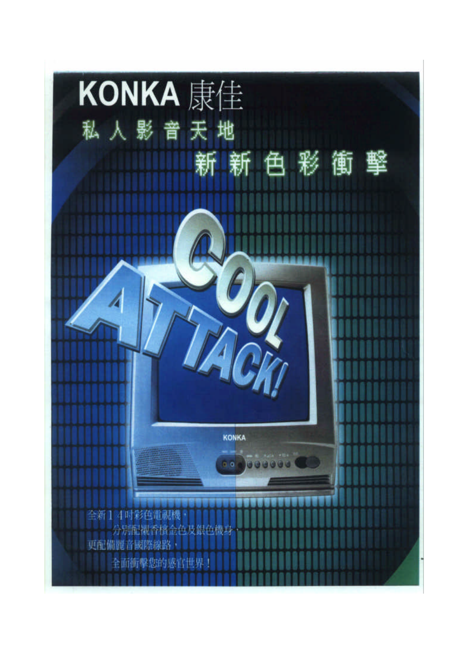